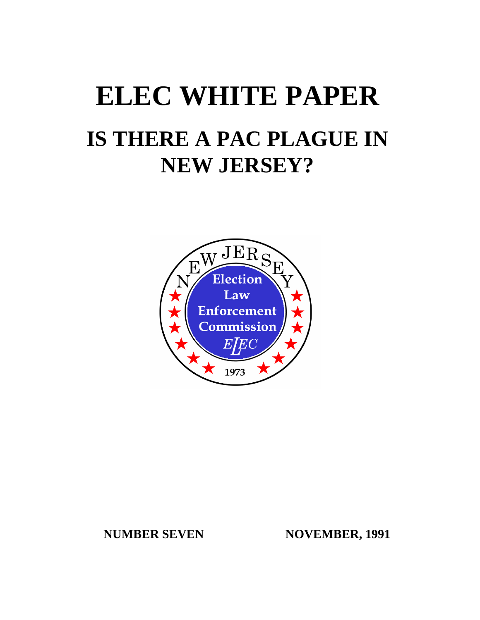# **ELEC WHITE PAPER IS THERE A PAC PLAGUE IN NEW JERSEY?**



# **NUMBER SEVEN NOVEMBER, 1991**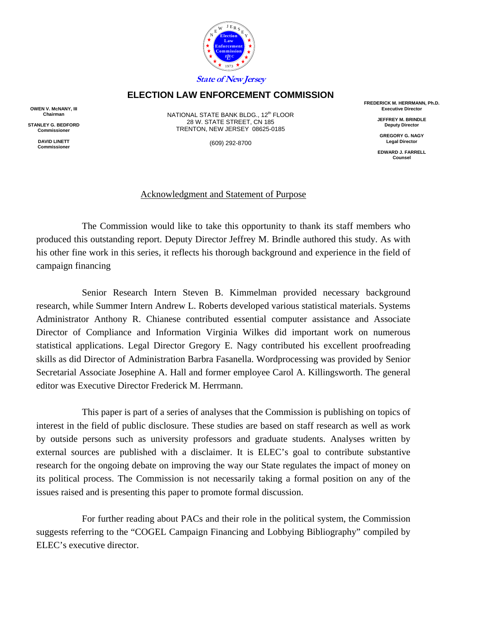

# **ELECTION LAW ENFORCEMENT COMMISSION**

**OWEN V. McNANY, III Chairman** 

**STANLEY G. BEDFORD Commissioner** 

> **DAVID LINETT Commissioner**

NATIONAL STATE BANK BLDG., 12<sup>th</sup> FLOOR 28 W. STATE STREET, CN 185 TRENTON, NEW JERSEY 08625-0185

(609) 292-8700

**FREDERICK M. HERRMANN, Ph.D. Executive Director** 

> **JEFFREY M. BRINDLE Deputy Director**

**GREGORY G. NAGY Legal Director** 

**EDWARD J. FARRELL Counsel** 

# Acknowledgment and Statement of Purpose

The Commission would like to take this opportunity to thank its staff members who produced this outstanding report. Deputy Director Jeffrey M. Brindle authored this study. As with his other fine work in this series, it reflects his thorough background and experience in the field of campaign financing

Senior Research Intern Steven B. Kimmelman provided necessary background research, while Summer Intern Andrew L. Roberts developed various statistical materials. Systems Administrator Anthony R. Chianese contributed essential computer assistance and Associate Director of Compliance and Information Virginia Wilkes did important work on numerous statistical applications. Legal Director Gregory E. Nagy contributed his excellent proofreading skills as did Director of Administration Barbra Fasanella. Wordprocessing was provided by Senior Secretarial Associate Josephine A. Hall and former employee Carol A. Killingsworth. The general editor was Executive Director Frederick M. Herrmann.

This paper is part of a series of analyses that the Commission is publishing on topics of interest in the field of public disclosure. These studies are based on staff research as well as work by outside persons such as university professors and graduate students. Analyses written by external sources are published with a disclaimer. It is ELEC's goal to contribute substantive research for the ongoing debate on improving the way our State regulates the impact of money on its political process. The Commission is not necessarily taking a formal position on any of the issues raised and is presenting this paper to promote formal discussion.

For further reading about PACs and their role in the political system, the Commission suggests referring to the "COGEL Campaign Financing and Lobbying Bibliography" compiled by ELEC's executive director.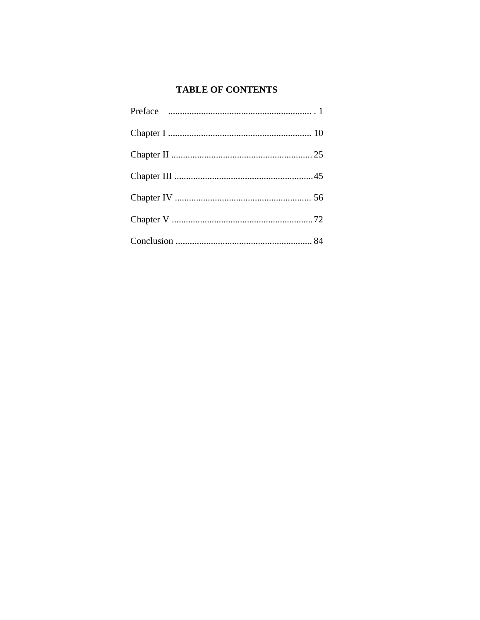# **TABLE OF CONTENTS**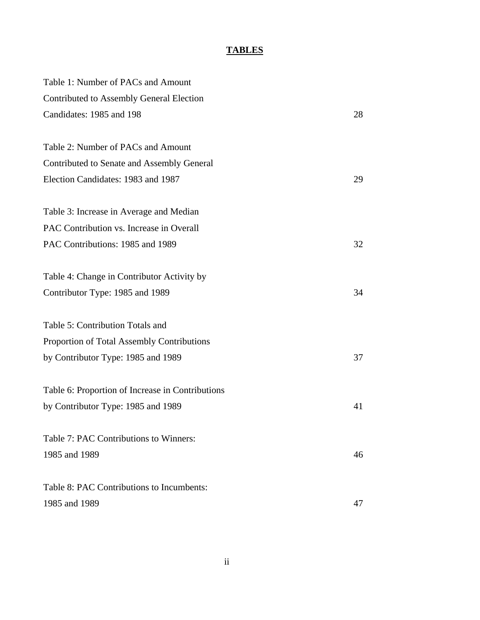# **TABLES**

| Table 1: Number of PACs and Amount               |    |
|--------------------------------------------------|----|
| Contributed to Assembly General Election         |    |
| Candidates: 1985 and 198                         | 28 |
| Table 2: Number of PACs and Amount               |    |
| Contributed to Senate and Assembly General       |    |
| Election Candidates: 1983 and 1987               | 29 |
| Table 3: Increase in Average and Median          |    |
| PAC Contribution vs. Increase in Overall         |    |
| PAC Contributions: 1985 and 1989                 | 32 |
| Table 4: Change in Contributor Activity by       |    |
| Contributor Type: 1985 and 1989                  | 34 |
| Table 5: Contribution Totals and                 |    |
| Proportion of Total Assembly Contributions       |    |
| by Contributor Type: 1985 and 1989               | 37 |
| Table 6: Proportion of Increase in Contributions |    |
| by Contributor Type: 1985 and 1989               | 41 |
| Table 7: PAC Contributions to Winners:           |    |
| 1985 and 1989                                    | 46 |
| Table 8: PAC Contributions to Incumbents:        |    |
| 1985 and 1989                                    | 47 |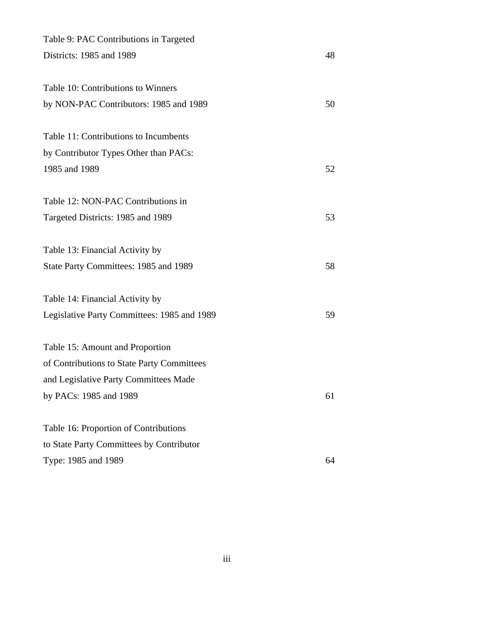| Table 9: PAC Contributions in Targeted      |    |
|---------------------------------------------|----|
| Districts: 1985 and 1989                    | 48 |
| Table 10: Contributions to Winners          |    |
| by NON-PAC Contributors: 1985 and 1989      | 50 |
| Table 11: Contributions to Incumbents       |    |
| by Contributor Types Other than PACs:       |    |
| 1985 and 1989                               | 52 |
| Table 12: NON-PAC Contributions in          |    |
| Targeted Districts: 1985 and 1989           | 53 |
| Table 13: Financial Activity by             |    |
| State Party Committees: 1985 and 1989       | 58 |
| Table 14: Financial Activity by             |    |
| Legislative Party Committees: 1985 and 1989 | 59 |
| Table 15: Amount and Proportion             |    |
| of Contributions to State Party Committees  |    |
| and Legislative Party Committees Made       |    |
| by PACs: 1985 and 1989                      | 61 |
| Table 16: Proportion of Contributions       |    |
| to State Party Committees by Contributor    |    |
| Type: 1985 and 1989                         | 64 |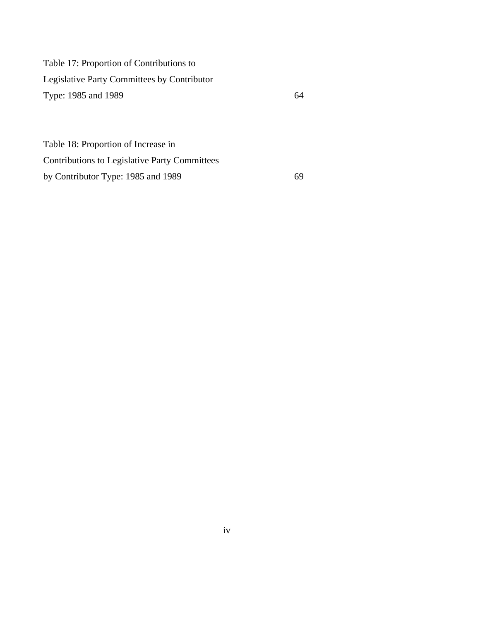Table 17: Proportion of Contributions to Legislative Party Committees by Contributor Type: 1985 and 1989 64

Table 18: Proportion of Increase in Contributions to Legislative Party Committees by Contributor Type: 1985 and 1989 69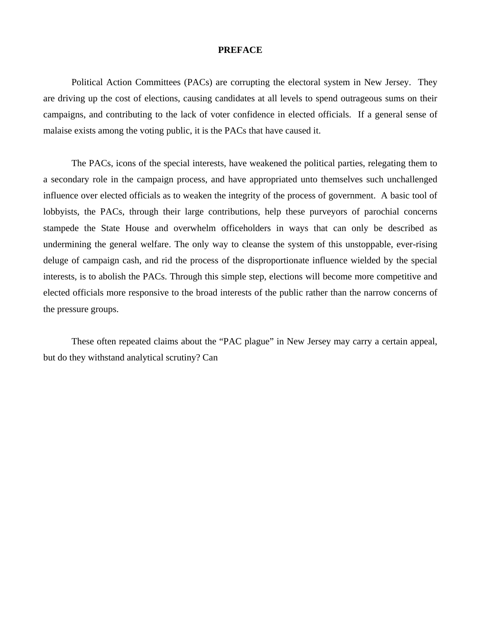#### **PREFACE**

Political Action Committees (PACs) are corrupting the electoral system in New Jersey. They are driving up the cost of elections, causing candidates at all levels to spend outrageous sums on their campaigns, and contributing to the lack of voter confidence in elected officials. If a general sense of malaise exists among the voting public, it is the PACs that have caused it.

The PACs, icons of the special interests, have weakened the political parties, relegating them to a secondary role in the campaign process, and have appropriated unto themselves such unchallenged influence over elected officials as to weaken the integrity of the process of government. A basic tool of lobbyists, the PACs, through their large contributions, help these purveyors of parochial concerns stampede the State House and overwhelm officeholders in ways that can only be described as undermining the general welfare. The only way to cleanse the system of this unstoppable, ever-rising deluge of campaign cash, and rid the process of the disproportionate influence wielded by the special interests, is to abolish the PACs. Through this simple step, elections will become more competitive and elected officials more responsive to the broad interests of the public rather than the narrow concerns of the pressure groups.

These often repeated claims about the "PAC plague" in New Jersey may carry a certain appeal, but do they withstand analytical scrutiny? Can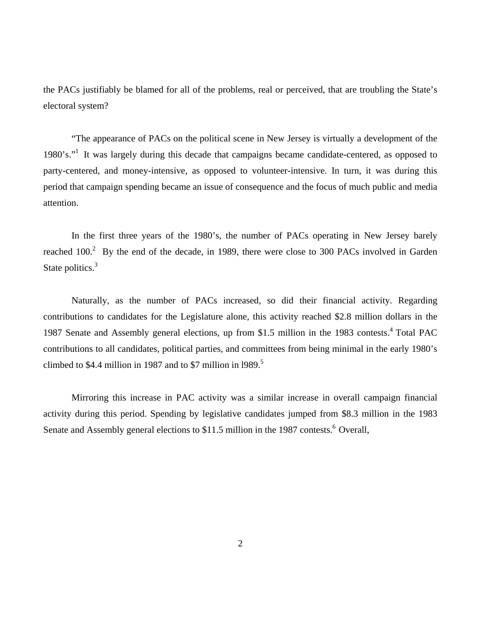the PACs justifiably be blamed for all of the problems, real or perceived, that are troubling the State's electoral system?

 "The appearance of PACs on the political scene in New Jersey is virtually a development of the 1980's."1 It was largely during this decade that campaigns became candidate-centered, as opposed to party-centered, and money-intensive, as opposed to volunteer-intensive. In turn, it was during this period that campaign spending became an issue of consequence and the focus of much public and media attention.

 In the first three years of the 1980's, the number of PACs operating in New Jersey barely reached  $100<sup>2</sup>$  By the end of the decade, in 1989, there were close to 300 PACs involved in Garden State politics.<sup>3</sup>

 Naturally, as the number of PACs increased, so did their financial activity. Regarding contributions to candidates for the Legislature alone, this activity reached \$2.8 million dollars in the 1987 Senate and Assembly general elections, up from \$1.5 million in the 1983 contests.<sup>4</sup> Total PAC contributions to all candidates, political parties, and committees from being minimal in the early 1980's climbed to \$4.4 million in 1987 and to \$7 million in 1989.<sup>5</sup>

 Mirroring this increase in PAC activity was a similar increase in overall campaign financial activity during this period. Spending by legislative candidates jumped from \$8.3 million in the 1983 Senate and Assembly general elections to \$11.5 million in the 1987 contests.<sup>6</sup> Overall,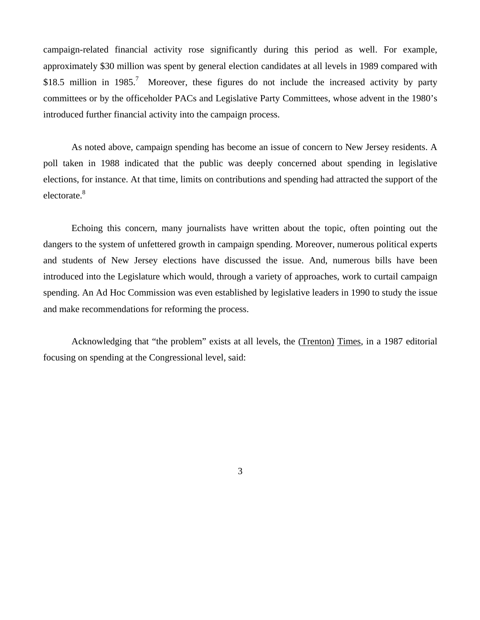campaign-related financial activity rose significantly during this period as well. For example, approximately \$30 million was spent by general election candidates at all levels in 1989 compared with \$18.5 million in 1985.<sup>7</sup> Moreover, these figures do not include the increased activity by party committees or by the officeholder PACs and Legislative Party Committees, whose advent in the 1980's introduced further financial activity into the campaign process.

As noted above, campaign spending has become an issue of concern to New Jersey residents. A poll taken in 1988 indicated that the public was deeply concerned about spending in legislative elections, for instance. At that time, limits on contributions and spending had attracted the support of the electorate.<sup>8</sup>

Echoing this concern, many journalists have written about the topic, often pointing out the dangers to the system of unfettered growth in campaign spending. Moreover, numerous political experts and students of New Jersey elections have discussed the issue. And, numerous bills have been introduced into the Legislature which would, through a variety of approaches, work to curtail campaign spending. An Ad Hoc Commission was even established by legislative leaders in 1990 to study the issue and make recommendations for reforming the process.

Acknowledging that "the problem" exists at all levels, the (Trenton) Times, in a 1987 editorial focusing on spending at the Congressional level, said:

3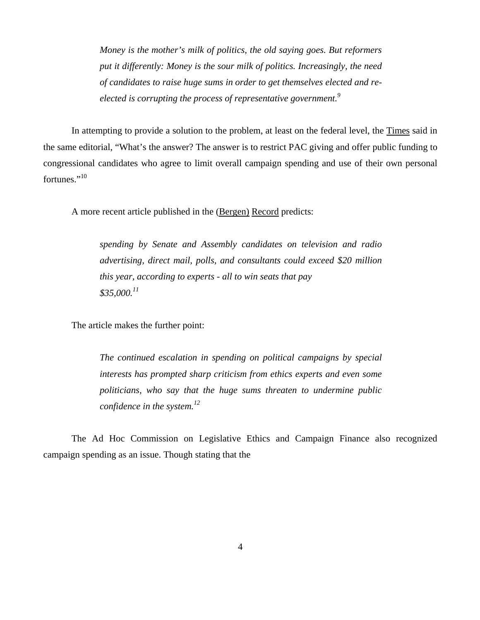*Money is the mother's milk of politics, the old saying goes. But reformers put it differently: Money is the sour milk of politics. Increasingly, the need of candidates to raise huge sums in order to get themselves elected and reelected is corrupting the process of representative government.9*

 In attempting to provide a solution to the problem, at least on the federal level, the Times said in the same editorial, "What's the answer? The answer is to restrict PAC giving and offer public funding to congressional candidates who agree to limit overall campaign spending and use of their own personal fortunes."<sup>10</sup>

A more recent article published in the (Bergen) Record predicts:

*spending by Senate and Assembly candidates on television and radio advertising, direct mail, polls, and consultants could exceed \$20 million this year, according to experts - all to win seats that pay \$35,000.<sup>11</sup>*

The article makes the further point:

*The continued escalation in spending on political campaigns by special interests has prompted sharp criticism from ethics experts and even some politicians, who say that the huge sums threaten to undermine public confidence in the system.12*

 The Ad Hoc Commission on Legislative Ethics and Campaign Finance also recognized campaign spending as an issue. Though stating that the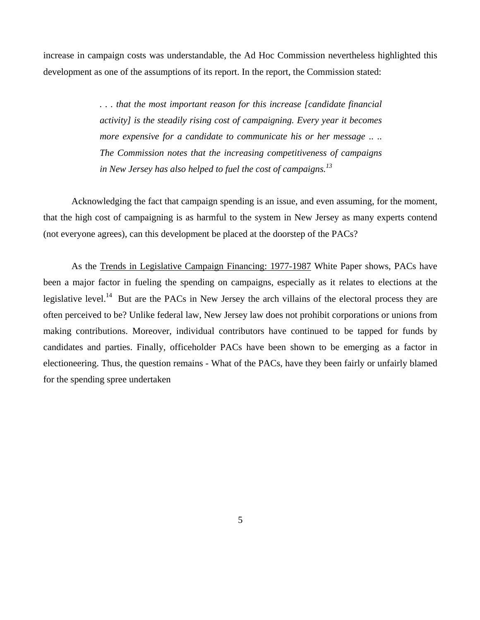increase in campaign costs was understandable, the Ad Hoc Commission nevertheless highlighted this development as one of the assumptions of its report. In the report, the Commission stated:

> *. . . that the most important reason for this increase [candidate financial activity] is the steadily rising cost of campaigning. Every year it becomes more expensive for a candidate to communicate his or her message* .. .. *The Commission notes that the increasing competitiveness of campaigns in New Jersey has also helped to fuel the cost of campaigns.<sup>13</sup>*

 Acknowledging the fact that campaign spending is an issue, and even assuming, for the moment, that the high cost of campaigning is as harmful to the system in New Jersey as many experts contend (not everyone agrees), can this development be placed at the doorstep of the PACs?

 As the Trends in Legislative Campaign Financing: 1977-1987 White Paper shows, PACs have been a major factor in fueling the spending on campaigns, especially as it relates to elections at the legislative level.<sup>14</sup> But are the PACs in New Jersey the arch villains of the electoral process they are often perceived to be? Unlike federal law, New Jersey law does not prohibit corporations or unions from making contributions. Moreover, individual contributors have continued to be tapped for funds by candidates and parties. Finally, officeholder PACs have been shown to be emerging as a factor in electioneering. Thus, the question remains - What of the PACs, have they been fairly or unfairly blamed for the spending spree undertaken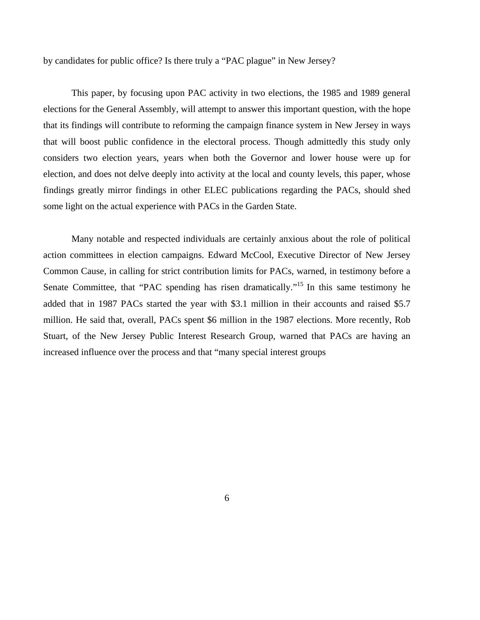by candidates for public office? Is there truly a "PAC plague" in New Jersey?

This paper, by focusing upon PAC activity in two elections, the 1985 and 1989 general elections for the General Assembly, will attempt to answer this important question, with the hope that its findings will contribute to reforming the campaign finance system in New Jersey in ways that will boost public confidence in the electoral process. Though admittedly this study only considers two election years, years when both the Governor and lower house were up for election, and does not delve deeply into activity at the local and county levels, this paper, whose findings greatly mirror findings in other ELEC publications regarding the PACs, should shed some light on the actual experience with PACs in the Garden State.

Many notable and respected individuals are certainly anxious about the role of political action committees in election campaigns. Edward McCool, Executive Director of New Jersey Common Cause, in calling for strict contribution limits for PACs, warned, in testimony before a Senate Committee, that "PAC spending has risen dramatically."<sup>15</sup> In this same testimony he added that in 1987 PACs started the year with \$3.1 million in their accounts and raised \$5.7 million. He said that, overall, PACs spent \$6 million in the 1987 elections. More recently, Rob Stuart, of the New Jersey Public Interest Research Group, warned that PACs are having an increased influence over the process and that "many special interest groups

6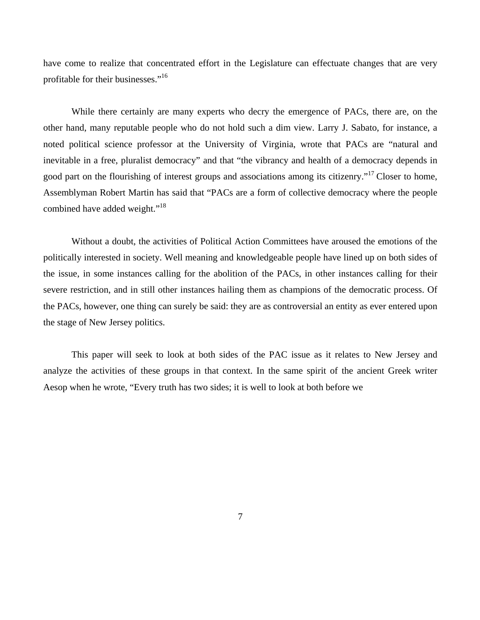have come to realize that concentrated effort in the Legislature can effectuate changes that are very profitable for their businesses."<sup>16</sup>

While there certainly are many experts who decry the emergence of PACs, there are, on the other hand, many reputable people who do not hold such a dim view. Larry J. Sabato, for instance, a noted political science professor at the University of Virginia, wrote that PACs are "natural and inevitable in a free, pluralist democracy" and that "the vibrancy and health of a democracy depends in good part on the flourishing of interest groups and associations among its citizenry."<sup>17</sup> Closer to home, Assemblyman Robert Martin has said that "PACs are a form of collective democracy where the people combined have added weight."<sup>18</sup>

Without a doubt, the activities of Political Action Committees have aroused the emotions of the politically interested in society. Well meaning and knowledgeable people have lined up on both sides of the issue, in some instances calling for the abolition of the PACs, in other instances calling for their severe restriction, and in still other instances hailing them as champions of the democratic process. Of the PACs, however, one thing can surely be said: they are as controversial an entity as ever entered upon the stage of New Jersey politics.

This paper will seek to look at both sides of the PAC issue as it relates to New Jersey and analyze the activities of these groups in that context. In the same spirit of the ancient Greek writer Aesop when he wrote, "Every truth has two sides; it is well to look at both before we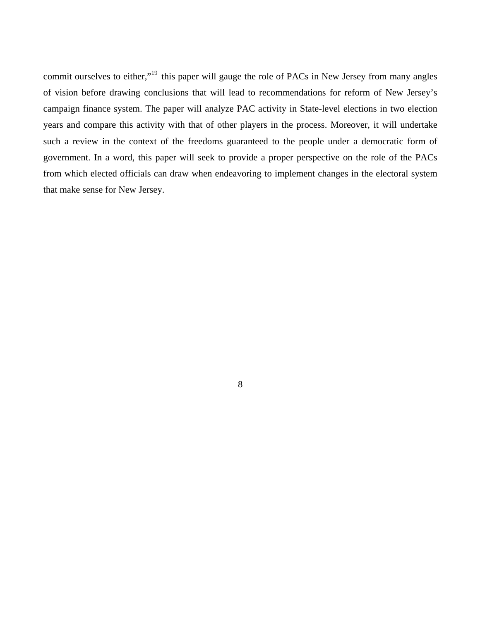commit ourselves to either,"<sup>19</sup> this paper will gauge the role of PACs in New Jersey from many angles of vision before drawing conclusions that will lead to recommendations for reform of New Jersey's campaign finance system. The paper will analyze PAC activity in State-level elections in two election years and compare this activity with that of other players in the process. Moreover, it will undertake such a review in the context of the freedoms guaranteed to the people under a democratic form of government. In a word, this paper will seek to provide a proper perspective on the role of the PACs from which elected officials can draw when endeavoring to implement changes in the electoral system that make sense for New Jersey.

8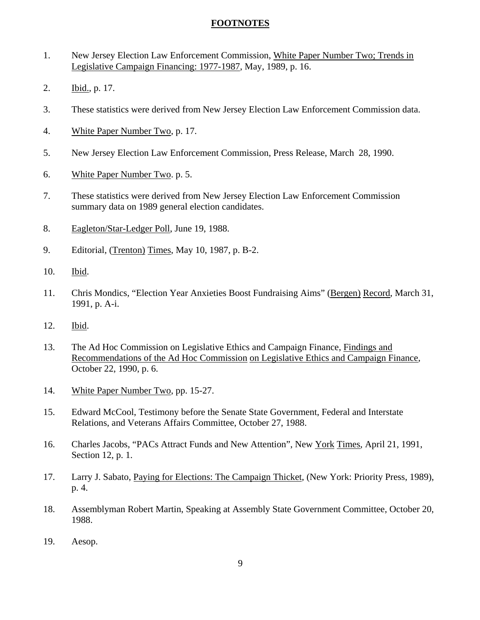# **FOOTNOTES**

- 1. New Jersey Election Law Enforcement Commission, White Paper Number Two; Trends in Legislative Campaign Financing: 1977-1987, May, 1989, p. 16.
- 2. Ibid., p. 17.
- 3. These statistics were derived from New Jersey Election Law Enforcement Commission data.
- 4. White Paper Number Two, p. 17.
- 5. New Jersey Election Law Enforcement Commission, Press Release, March 28, 1990.
- 6. White Paper Number Two. p. 5.
- 7. These statistics were derived from New Jersey Election Law Enforcement Commission summary data on 1989 general election candidates.
- 8. Eagleton/Star-Ledger Poll, June 19, 1988.
- 9. Editorial, (Trenton) Times, May 10, 1987, p. B-2.
- 10. Ibid.
- 11. Chris Mondics, "Election Year Anxieties Boost Fundraising Aims" (Bergen) Record, March 31, 1991, p. A-i.
- 12. Ibid.
- 13. The Ad Hoc Commission on Legislative Ethics and Campaign Finance, Findings and Recommendations of the Ad Hoc Commission on Legislative Ethics and Campaign Finance, October 22, 1990, p. 6.
- 14. White Paper Number Two, pp. 15-27.
- 15. Edward McCool, Testimony before the Senate State Government, Federal and Interstate Relations, and Veterans Affairs Committee, October 27, 1988.
- 16. Charles Jacobs, "PACs Attract Funds and New Attention", New York Times, April 21, 1991, Section 12, p. 1.
- 17. Larry J. Sabato, Paying for Elections: The Campaign Thicket, (New York: Priority Press, 1989), p. 4.
- 18. Assemblyman Robert Martin, Speaking at Assembly State Government Committee, October 20, 1988.
- 19. Aesop.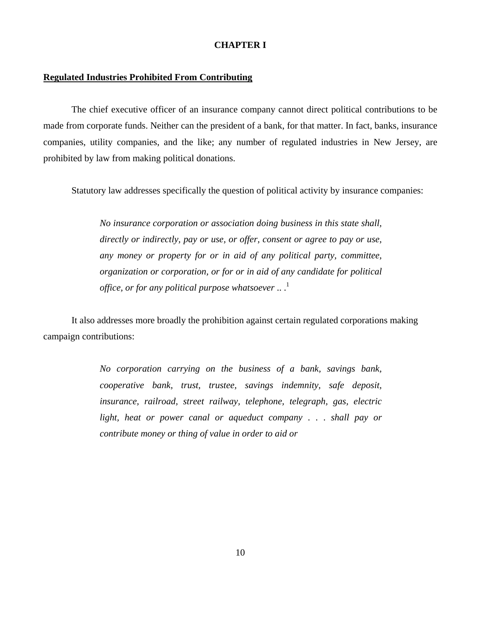## **CHAPTER I**

# **Regulated Industries Prohibited From Contributing**

 The chief executive officer of an insurance company cannot direct political contributions to be made from corporate funds. Neither can the president of a bank, for that matter. In fact, banks, insurance companies, utility companies, and the like; any number of regulated industries in New Jersey, are prohibited by law from making political donations.

Statutory law addresses specifically the question of political activity by insurance companies:

*No insurance corporation or association doing business in this state shall, directly or indirectly, pay or use, or offer, consent or agree to pay or use, any money or property for or in aid of any political party, committee, organization or corporation, or for or in aid of any candidate for political office, or for any political purpose whatsoever* ...<sup>1</sup>

 It also addresses more broadly the prohibition against certain regulated corporations making campaign contributions:

> *No corporation carrying on the business of a bank, savings bank, cooperative bank, trust, trustee, savings indemnity, safe deposit, insurance, railroad, street railway, telephone, telegraph, gas, electric light, heat or power canal or aqueduct company* . . . *shall pay or contribute money or thing of value in order to aid or*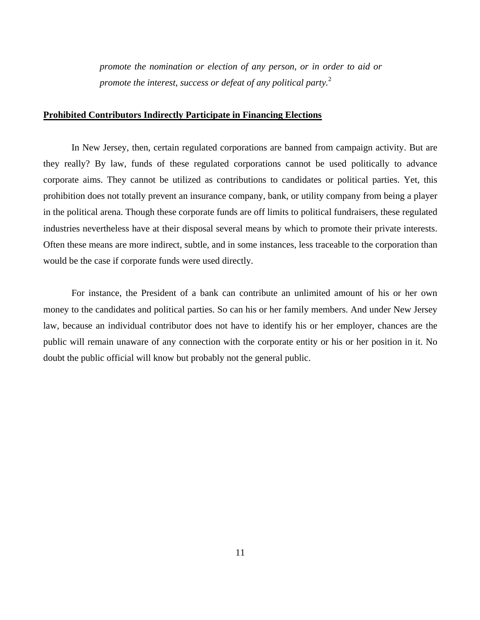*promote the nomination or election of any person, or in order to aid or promote the interest, success or defeat of any political party.*<sup>2</sup>

#### **Prohibited Contributors Indirectly Participate in Financing Elections**

In New Jersey, then, certain regulated corporations are banned from campaign activity. But are they really? By law, funds of these regulated corporations cannot be used politically to advance corporate aims. They cannot be utilized as contributions to candidates or political parties. Yet, this prohibition does not totally prevent an insurance company, bank, or utility company from being a player in the political arena. Though these corporate funds are off limits to political fundraisers, these regulated industries nevertheless have at their disposal several means by which to promote their private interests. Often these means are more indirect, subtle, and in some instances, less traceable to the corporation than would be the case if corporate funds were used directly.

For instance, the President of a bank can contribute an unlimited amount of his or her own money to the candidates and political parties. So can his or her family members. And under New Jersey law, because an individual contributor does not have to identify his or her employer, chances are the public will remain unaware of any connection with the corporate entity or his or her position in it. No doubt the public official will know but probably not the general public.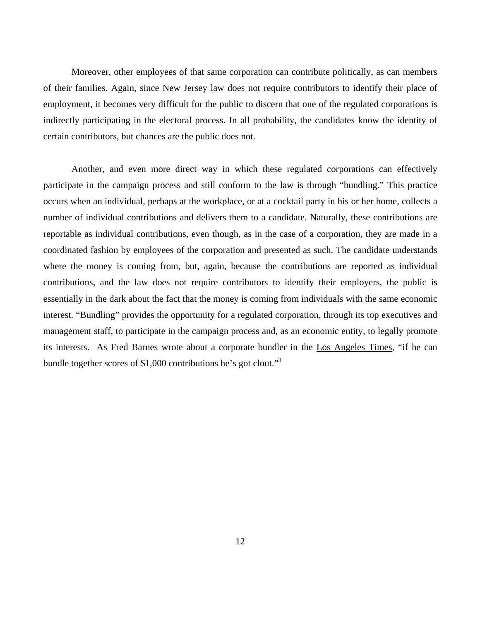Moreover, other employees of that same corporation can contribute politically, as can members of their families. Again, since New Jersey law does not require contributors to identify their place of employment, it becomes very difficult for the public to discern that one of the regulated corporations is indirectly participating in the electoral process. In all probability, the candidates know the identity of certain contributors, but chances are the public does not.

 Another, and even more direct way in which these regulated corporations can effectively participate in the campaign process and still conform to the law is through "bundling." This practice occurs when an individual, perhaps at the workplace, or at a cocktail party in his or her home, collects a number of individual contributions and delivers them to a candidate. Naturally, these contributions are reportable as individual contributions, even though, as in the case of a corporation, they are made in a coordinated fashion by employees of the corporation and presented as such. The candidate understands where the money is coming from, but, again, because the contributions are reported as individual contributions, and the law does not require contributors to identify their employers, the public is essentially in the dark about the fact that the money is coming from individuals with the same economic interest. "Bundling" provides the opportunity for a regulated corporation, through its top executives and management staff, to participate in the campaign process and, as an economic entity, to legally promote its interests. As Fred Barnes wrote about a corporate bundler in the Los Angeles Times, "if he can bundle together scores of \$1,000 contributions he's got clout."3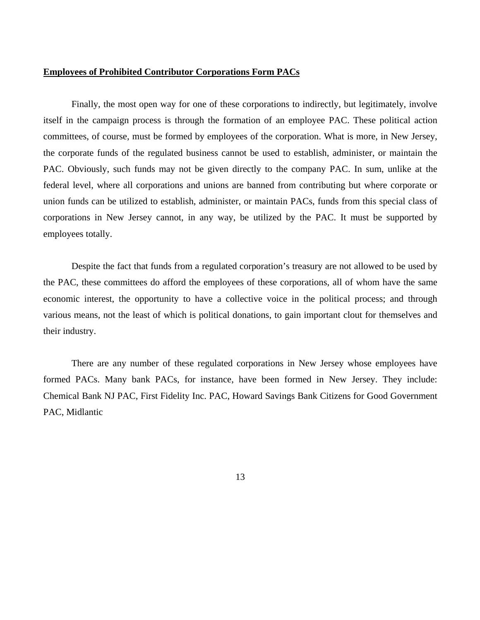# **Employees of Prohibited Contributor Corporations Form PACs**

Finally, the most open way for one of these corporations to indirectly, but legitimately, involve itself in the campaign process is through the formation of an employee PAC. These political action committees, of course, must be formed by employees of the corporation. What is more, in New Jersey, the corporate funds of the regulated business cannot be used to establish, administer, or maintain the PAC. Obviously, such funds may not be given directly to the company PAC. In sum, unlike at the federal level, where all corporations and unions are banned from contributing but where corporate or union funds can be utilized to establish, administer, or maintain PACs, funds from this special class of corporations in New Jersey cannot, in any way, be utilized by the PAC. It must be supported by employees totally.

Despite the fact that funds from a regulated corporation's treasury are not allowed to be used by the PAC, these committees do afford the employees of these corporations, all of whom have the same economic interest, the opportunity to have a collective voice in the political process; and through various means, not the least of which is political donations, to gain important clout for themselves and their industry.

There are any number of these regulated corporations in New Jersey whose employees have formed PACs. Many bank PACs, for instance, have been formed in New Jersey. They include: Chemical Bank NJ PAC, First Fidelity Inc. PAC, Howard Savings Bank Citizens for Good Government PAC, Midlantic

13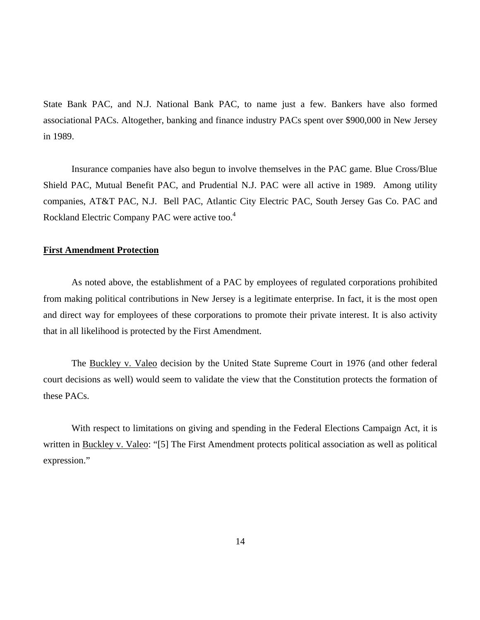State Bank PAC, and N.J. National Bank PAC, to name just a few. Bankers have also formed associational PACs. Altogether, banking and finance industry PACs spent over \$900,000 in New Jersey in 1989.

Insurance companies have also begun to involve themselves in the PAC game. Blue Cross/Blue Shield PAC, Mutual Benefit PAC, and Prudential N.J. PAC were all active in 1989. Among utility companies, AT&T PAC, N.J. Bell PAC, Atlantic City Electric PAC, South Jersey Gas Co. PAC and Rockland Electric Company PAC were active too.<sup>4</sup>

# **First Amendment Protection**

As noted above, the establishment of a PAC by employees of regulated corporations prohibited from making political contributions in New Jersey is a legitimate enterprise. In fact, it is the most open and direct way for employees of these corporations to promote their private interest. It is also activity that in all likelihood is protected by the First Amendment.

The Buckley v. Valeo decision by the United State Supreme Court in 1976 (and other federal court decisions as well) would seem to validate the view that the Constitution protects the formation of these PACs.

With respect to limitations on giving and spending in the Federal Elections Campaign Act, it is written in Buckley v. Valeo: "[5] The First Amendment protects political association as well as political expression."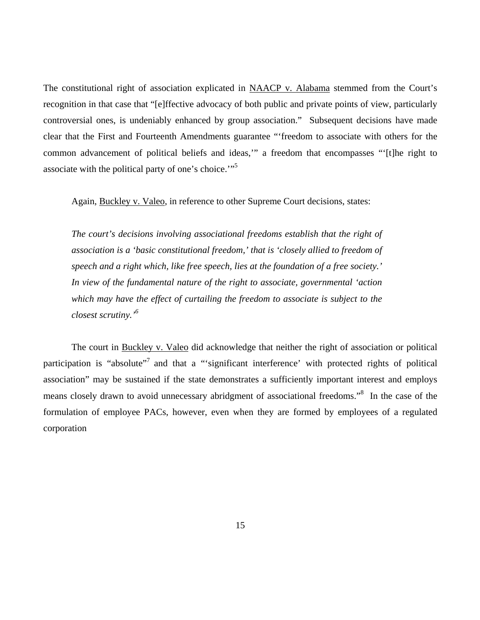The constitutional right of association explicated in NAACP v. Alabama stemmed from the Court's recognition in that case that "[e]ffective advocacy of both public and private points of view, particularly controversial ones, is undeniably enhanced by group association." Subsequent decisions have made clear that the First and Fourteenth Amendments guarantee "'freedom to associate with others for the common advancement of political beliefs and ideas,'" a freedom that encompasses "'[t]he right to associate with the political party of one's choice.'"<sup>5</sup>

Again, Buckley v. Valeo, in reference to other Supreme Court decisions, states:

*The court's decisions involving associational freedoms establish that the right of association is a 'basic constitutional freedom,' that is 'closely allied to freedom of speech and a right which, like free speech, lies at the foundation of a free society.' In view of the fundamental nature of the right to associate, governmental 'action which may have the effect of curtailing the freedom to associate is subject to the closest scrutiny.'6*

The court in Buckley v. Valeo did acknowledge that neither the right of association or political participation is "absolute"<sup>7</sup> and that a "'significant interference' with protected rights of political association" may be sustained if the state demonstrates a sufficiently important interest and employs means closely drawn to avoid unnecessary abridgment of associational freedoms."<sup>8</sup> In the case of the formulation of employee PACs, however, even when they are formed by employees of a regulated corporation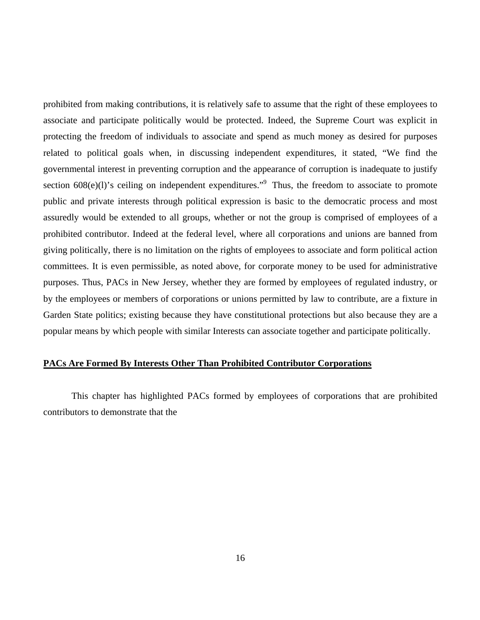prohibited from making contributions, it is relatively safe to assume that the right of these employees to associate and participate politically would be protected. Indeed, the Supreme Court was explicit in protecting the freedom of individuals to associate and spend as much money as desired for purposes related to political goals when, in discussing independent expenditures, it stated, "We find the governmental interest in preventing corruption and the appearance of corruption is inadequate to justify section  $608(e)(1)$ 's ceiling on independent expenditures."<sup>9</sup> Thus, the freedom to associate to promote public and private interests through political expression is basic to the democratic process and most assuredly would be extended to all groups, whether or not the group is comprised of employees of a prohibited contributor. Indeed at the federal level, where all corporations and unions are banned from giving politically, there is no limitation on the rights of employees to associate and form political action committees. It is even permissible, as noted above, for corporate money to be used for administrative purposes. Thus, PACs in New Jersey, whether they are formed by employees of regulated industry, or by the employees or members of corporations or unions permitted by law to contribute, are a fixture in Garden State politics; existing because they have constitutional protections but also because they are a popular means by which people with similar Interests can associate together and participate politically.

# **PACs Are Formed By Interests Other Than Prohibited Contributor Corporations**

 This chapter has highlighted PACs formed by employees of corporations that are prohibited contributors to demonstrate that the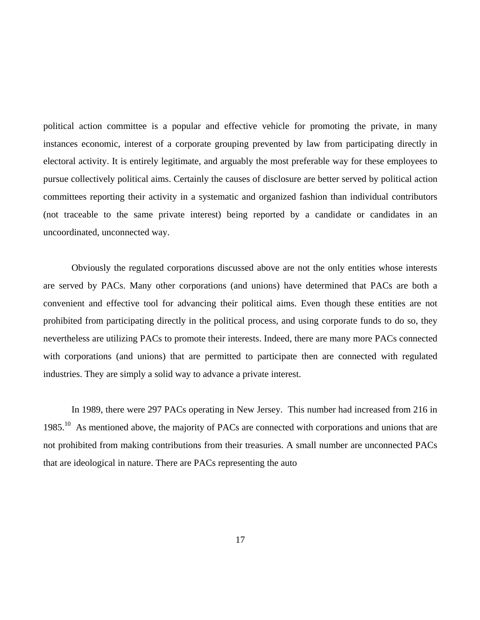political action committee is a popular and effective vehicle for promoting the private, in many instances economic, interest of a corporate grouping prevented by law from participating directly in electoral activity. It is entirely legitimate, and arguably the most preferable way for these employees to pursue collectively political aims. Certainly the causes of disclosure are better served by political action committees reporting their activity in a systematic and organized fashion than individual contributors (not traceable to the same private interest) being reported by a candidate or candidates in an uncoordinated, unconnected way.

Obviously the regulated corporations discussed above are not the only entities whose interests are served by PACs. Many other corporations (and unions) have determined that PACs are both a convenient and effective tool for advancing their political aims. Even though these entities are not prohibited from participating directly in the political process, and using corporate funds to do so, they nevertheless are utilizing PACs to promote their interests. Indeed, there are many more PACs connected with corporations (and unions) that are permitted to participate then are connected with regulated industries. They are simply a solid way to advance a private interest.

In 1989, there were 297 PACs operating in New Jersey. This number had increased from 216 in 1985.<sup>10</sup> As mentioned above, the majority of PACs are connected with corporations and unions that are not prohibited from making contributions from their treasuries. A small number are unconnected PACs that are ideological in nature. There are PACs representing the auto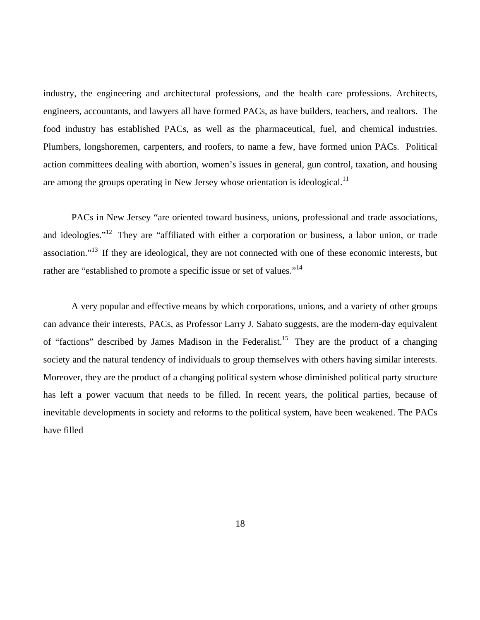industry, the engineering and architectural professions, and the health care professions. Architects, engineers, accountants, and lawyers all have formed PACs, as have builders, teachers, and realtors. The food industry has established PACs, as well as the pharmaceutical, fuel, and chemical industries. Plumbers, longshoremen, carpenters, and roofers, to name a few, have formed union PACs. Political action committees dealing with abortion, women's issues in general, gun control, taxation, and housing are among the groups operating in New Jersey whose orientation is ideological.<sup>11</sup>

PACs in New Jersey "are oriented toward business, unions, professional and trade associations, and ideologies."<sup>12</sup> They are "affiliated with either a corporation or business, a labor union, or trade association."13 If they are ideological, they are not connected with one of these economic interests, but rather are "established to promote a specific issue or set of values."<sup>14</sup>

A very popular and effective means by which corporations, unions, and a variety of other groups can advance their interests, PACs, as Professor Larry J. Sabato suggests, are the modern-day equivalent of "factions" described by James Madison in the Federalist.<sup>15</sup> They are the product of a changing society and the natural tendency of individuals to group themselves with others having similar interests. Moreover, they are the product of a changing political system whose diminished political party structure has left a power vacuum that needs to be filled. In recent years, the political parties, because of inevitable developments in society and reforms to the political system, have been weakened. The PACs have filled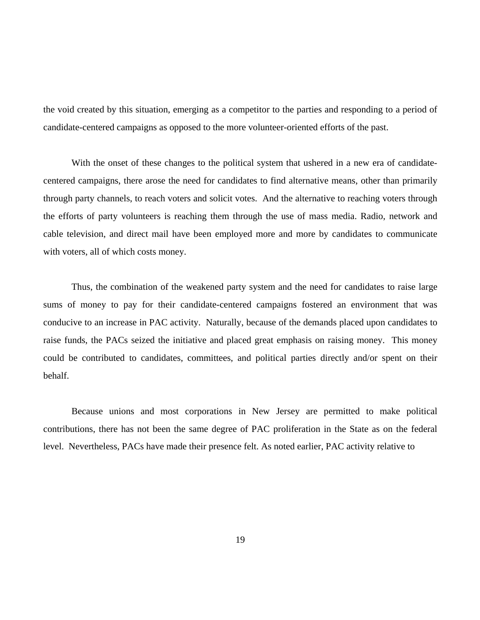the void created by this situation, emerging as a competitor to the parties and responding to a period of candidate-centered campaigns as opposed to the more volunteer-oriented efforts of the past.

With the onset of these changes to the political system that ushered in a new era of candidatecentered campaigns, there arose the need for candidates to find alternative means, other than primarily through party channels, to reach voters and solicit votes. And the alternative to reaching voters through the efforts of party volunteers is reaching them through the use of mass media. Radio, network and cable television, and direct mail have been employed more and more by candidates to communicate with voters, all of which costs money.

Thus, the combination of the weakened party system and the need for candidates to raise large sums of money to pay for their candidate-centered campaigns fostered an environment that was conducive to an increase in PAC activity. Naturally, because of the demands placed upon candidates to raise funds, the PACs seized the initiative and placed great emphasis on raising money. This money could be contributed to candidates, committees, and political parties directly and/or spent on their behalf.

Because unions and most corporations in New Jersey are permitted to make political contributions, there has not been the same degree of PAC proliferation in the State as on the federal level. Nevertheless, PACs have made their presence felt. As noted earlier, PAC activity relative to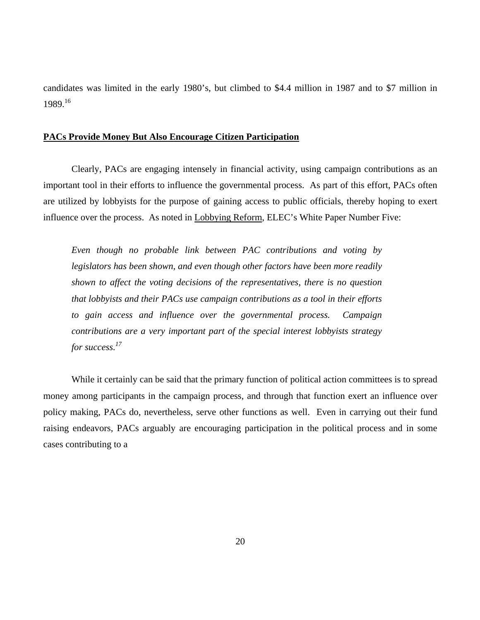candidates was limited in the early 1980's, but climbed to \$4.4 million in 1987 and to \$7 million in 1989.<sup>16</sup>

#### **PACs Provide Money But Also Encourage Citizen Participation**

 Clearly, PACs are engaging intensely in financial activity, using campaign contributions as an important tool in their efforts to influence the governmental process. As part of this effort, PACs often are utilized by lobbyists for the purpose of gaining access to public officials, thereby hoping to exert influence over the process. As noted in Lobbying Reform, ELEC's White Paper Number Five:

*Even though no probable link between PAC contributions and voting by legislators has been shown, and even though other factors have been more readily shown to affect the voting decisions of the representatives, there is no question that lobbyists and their PACs use campaign contributions as a tool in their efforts to gain access and influence over the governmental process. Campaign contributions are a very important part of the special interest lobbyists strategy for success.17*

While it certainly can be said that the primary function of political action committees is to spread money among participants in the campaign process, and through that function exert an influence over policy making, PACs do, nevertheless, serve other functions as well. Even in carrying out their fund raising endeavors, PACs arguably are encouraging participation in the political process and in some cases contributing to a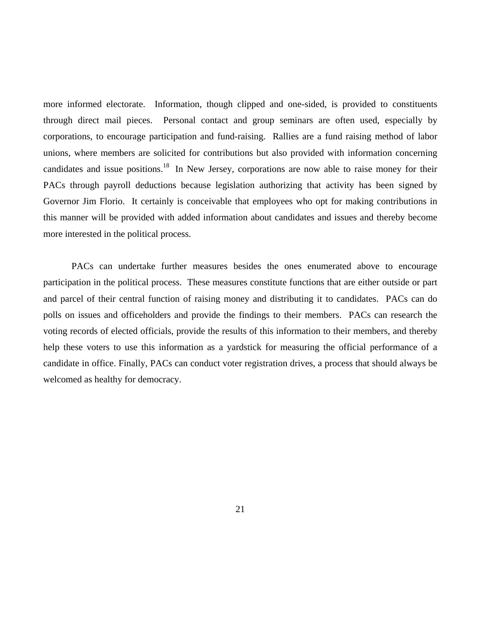more informed electorate. Information, though clipped and one-sided, is provided to constituents through direct mail pieces. Personal contact and group seminars are often used, especially by corporations, to encourage participation and fund-raising. Rallies are a fund raising method of labor unions, where members are solicited for contributions but also provided with information concerning candidates and issue positions.<sup>18</sup> In New Jersey, corporations are now able to raise money for their PACs through payroll deductions because legislation authorizing that activity has been signed by Governor Jim Florio. It certainly is conceivable that employees who opt for making contributions in this manner will be provided with added information about candidates and issues and thereby become more interested in the political process.

 PACs can undertake further measures besides the ones enumerated above to encourage participation in the political process. These measures constitute functions that are either outside or part and parcel of their central function of raising money and distributing it to candidates. PACs can do polls on issues and officeholders and provide the findings to their members. PACs can research the voting records of elected officials, provide the results of this information to their members, and thereby help these voters to use this information as a yardstick for measuring the official performance of a candidate in office. Finally, PACs can conduct voter registration drives, a process that should always be welcomed as healthy for democracy.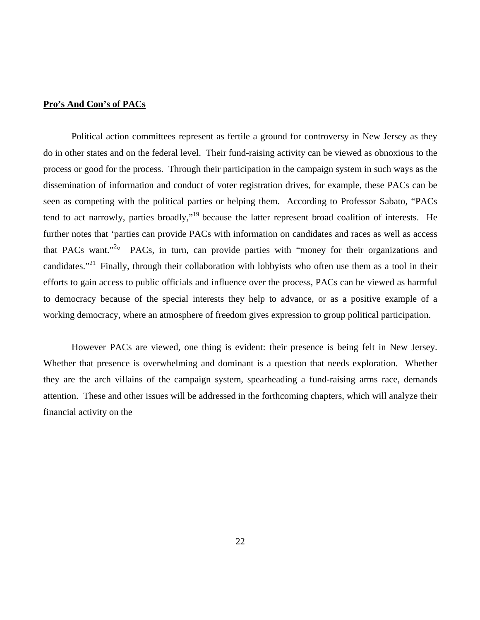# **Pro's And Con's of PACs**

 Political action committees represent as fertile a ground for controversy in New Jersey as they do in other states and on the federal level. Their fund-raising activity can be viewed as obnoxious to the process or good for the process. Through their participation in the campaign system in such ways as the dissemination of information and conduct of voter registration drives, for example, these PACs can be seen as competing with the political parties or helping them. According to Professor Sabato, "PACs tend to act narrowly, parties broadly,"19 because the latter represent broad coalition of interests. He further notes that 'parties can provide PACs with information on candidates and races as well as access that PACs want."<sup>2</sup> PACs, in turn, can provide parties with "money for their organizations and candidates."<sup>21</sup> Finally, through their collaboration with lobbyists who often use them as a tool in their efforts to gain access to public officials and influence over the process, PACs can be viewed as harmful to democracy because of the special interests they help to advance, or as a positive example of a working democracy, where an atmosphere of freedom gives expression to group political participation.

 However PACs are viewed, one thing is evident: their presence is being felt in New Jersey. Whether that presence is overwhelming and dominant is a question that needs exploration. Whether they are the arch villains of the campaign system, spearheading a fund-raising arms race, demands attention. These and other issues will be addressed in the forthcoming chapters, which will analyze their financial activity on the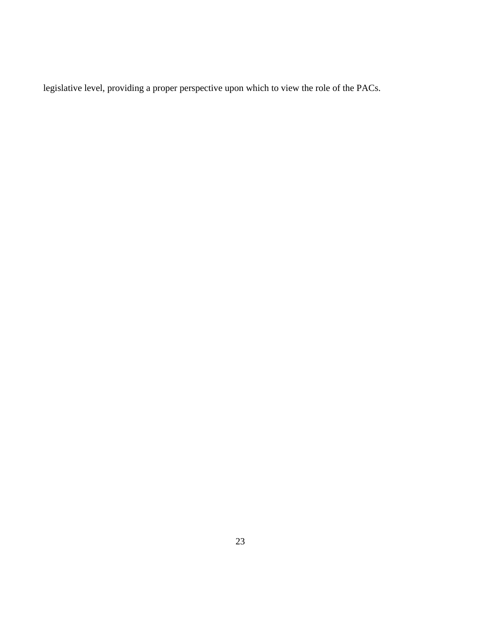legislative level, providing a proper perspective upon which to view the role of the PACs.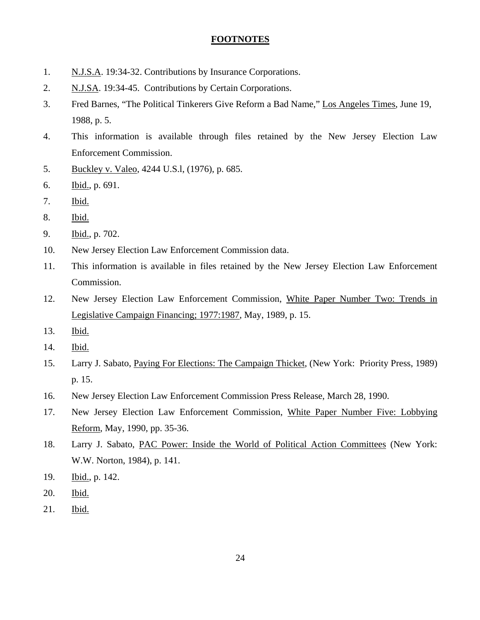# **FOOTNOTES**

- 1. N.J.S.A. 19:34-32. Contributions by Insurance Corporations.
- 2. N.J.SA. 19:34-45. Contributions by Certain Corporations.
- 3. Fred Barnes, "The Political Tinkerers Give Reform a Bad Name," Los Angeles Times, June 19, 1988, p. 5.
- 4. This information is available through files retained by the New Jersey Election Law Enforcement Commission.
- 5. Buckley v. Valeo, 4244 U.S.l, (1976), p. 685.
- 6. Ibid., p. 691.
- 7. Ibid.
- 8. Ibid.
- 9. Ibid., p. 702.
- 10. New Jersey Election Law Enforcement Commission data.
- 11. This information is available in files retained by the New Jersey Election Law Enforcement Commission.
- 12. New Jersey Election Law Enforcement Commission, White Paper Number Two: Trends in Legislative Campaign Financing; 1977:1987, May, 1989, p. 15.
- 13. Ibid.
- 14. Ibid.
- 15. Larry J. Sabato, Paying For Elections: The Campaign Thicket, (New York: Priority Press, 1989) p. 15.
- 16. New Jersey Election Law Enforcement Commission Press Release, March 28, 1990.
- 17. New Jersey Election Law Enforcement Commission, White Paper Number Five: Lobbying Reform, May, 1990, pp. 35-36.
- 18. Larry J. Sabato, PAC Power: Inside the World of Political Action Committees (New York: W.W. Norton, 1984), p. 141.
- 19. Ibid., p. 142.
- 20. Ibid.
- 21. Ibid.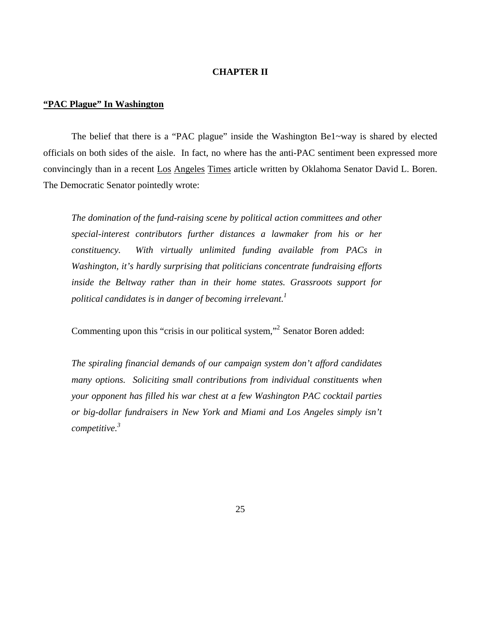# **CHAPTER II**

# **"PAC Plague" In Washington**

 The belief that there is a "PAC plague" inside the Washington Be1~way is shared by elected officials on both sides of the aisle. In fact, no where has the anti-PAC sentiment been expressed more convincingly than in a recent Los Angeles Times article written by Oklahoma Senator David L. Boren. The Democratic Senator pointedly wrote:

*The domination of the fund-raising scene by political action committees and other special-interest contributors further distances a lawmaker from his or her constituency. With virtually unlimited funding available from PACs in Washington, it's hardly surprising that politicians concentrate fundraising efforts inside the Beltway rather than in their home states. Grassroots support for political candidates is in danger of becoming irrelevant.*<sup>1</sup>

Commenting upon this "crisis in our political system,"<sup>2</sup> Senator Boren added:

*The spiraling financial demands of our campaign system don't afford candidates many options. Soliciting small contributions from individual constituents when your opponent has filled his war chest at a few Washington PAC cocktail parties or big-dollar fundraisers in New York and Miami and Los Angeles simply isn't competitive.3*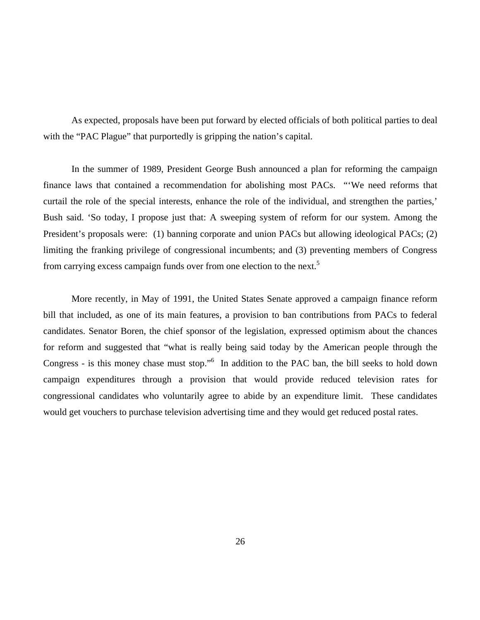As expected, proposals have been put forward by elected officials of both political parties to deal with the "PAC Plague" that purportedly is gripping the nation's capital.

 In the summer of 1989, President George Bush announced a plan for reforming the campaign finance laws that contained a recommendation for abolishing most PACs. "'We need reforms that curtail the role of the special interests, enhance the role of the individual, and strengthen the parties,' Bush said. 'So today, I propose just that: A sweeping system of reform for our system. Among the President's proposals were: (1) banning corporate and union PACs but allowing ideological PACs; (2) limiting the franking privilege of congressional incumbents; and (3) preventing members of Congress from carrying excess campaign funds over from one election to the next.<sup>5</sup>

 More recently, in May of 1991, the United States Senate approved a campaign finance reform bill that included, as one of its main features, a provision to ban contributions from PACs to federal candidates. Senator Boren, the chief sponsor of the legislation, expressed optimism about the chances for reform and suggested that "what is really being said today by the American people through the Congress - is this money chase must stop."<sup>6</sup> In addition to the PAC ban, the bill seeks to hold down campaign expenditures through a provision that would provide reduced television rates for congressional candidates who voluntarily agree to abide by an expenditure limit. These candidates would get vouchers to purchase television advertising time and they would get reduced postal rates.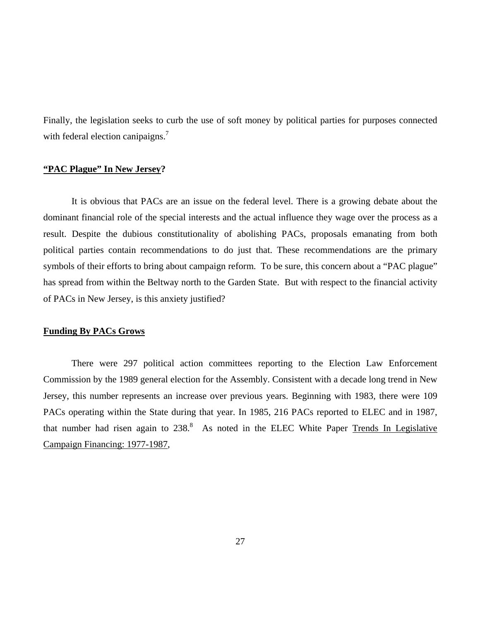Finally, the legislation seeks to curb the use of soft money by political parties for purposes connected with federal election canipaigns.<sup>7</sup>

# **"PAC Plague" In New Jersey?**

 It is obvious that PACs are an issue on the federal level. There is a growing debate about the dominant financial role of the special interests and the actual influence they wage over the process as a result. Despite the dubious constitutionality of abolishing PACs, proposals emanating from both political parties contain recommendations to do just that. These recommendations are the primary symbols of their efforts to bring about campaign reform. To be sure, this concern about a "PAC plague" has spread from within the Beltway north to the Garden State. But with respect to the financial activity of PACs in New Jersey, is this anxiety justified?

## **Funding By PACs Grows**

 There were 297 political action committees reporting to the Election Law Enforcement Commission by the 1989 general election for the Assembly. Consistent with a decade long trend in New Jersey, this number represents an increase over previous years. Beginning with 1983, there were 109 PACs operating within the State during that year. In 1985, 216 PACs reported to ELEC and in 1987, that number had risen again to  $238$ .<sup>8</sup> As noted in the ELEC White Paper Trends In Legislative Campaign Financing: 1977-1987,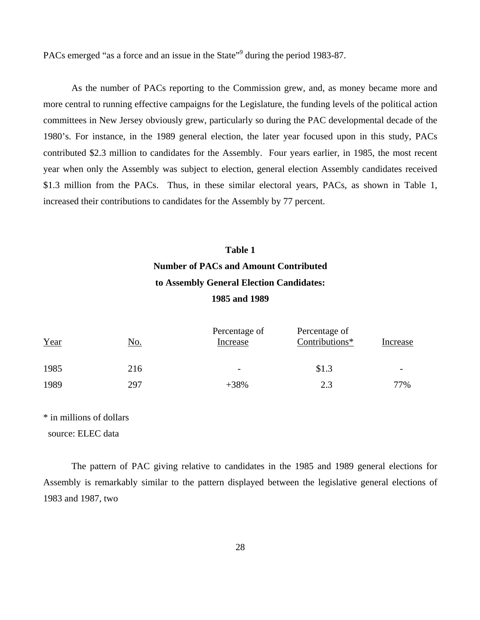PACs emerged "as a force and an issue in the State"<sup>9</sup> during the period 1983-87.

 As the number of PACs reporting to the Commission grew, and, as money became more and more central to running effective campaigns for the Legislature, the funding levels of the political action committees in New Jersey obviously grew, particularly so during the PAC developmental decade of the 1980's. For instance, in the 1989 general election, the later year focused upon in this study, PACs contributed \$2.3 million to candidates for the Assembly. Four years earlier, in 1985, the most recent year when only the Assembly was subject to election, general election Assembly candidates received \$1.3 million from the PACs. Thus, in these similar electoral years, PACs, as shown in Table 1, increased their contributions to candidates for the Assembly by 77 percent.

# **Table 1 Number of PACs and Amount Contributed to Assembly General Election Candidates: 1985 and 1989**

| Year | <u>No.</u> | Percentage of<br>Increase | Percentage of<br>Contributions* | Increase |
|------|------------|---------------------------|---------------------------------|----------|
| 1985 | 216        | $\overline{\phantom{0}}$  | \$1.3                           |          |
| 1989 | 297        | $+38%$                    | 2.3                             | 77%      |

\* in millions of dollars

source: ELEC data

 The pattern of PAC giving relative to candidates in the 1985 and 1989 general elections for Assembly is remarkably similar to the pattern displayed between the legislative general elections of 1983 and 1987, two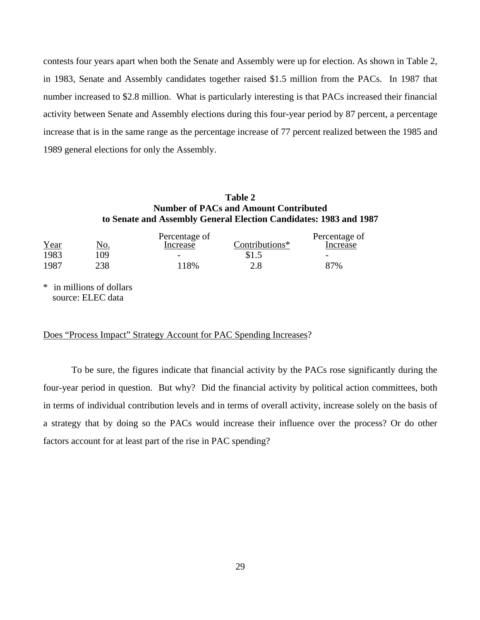contests four years apart when both the Senate and Assembly were up for election. As shown in Table 2, in 1983, Senate and Assembly candidates together raised \$1.5 million from the PACs. In 1987 that number increased to \$2.8 million. What is particularly interesting is that PACs increased their financial activity between Senate and Assembly elections during this four-year period by 87 percent, a percentage increase that is in the same range as the percentage increase of 77 percent realized between the 1985 and 1989 general elections for only the Assembly.

# **Table 2 Number of PACs and Amount Contributed to Senate and Assembly General Election Candidates: 1983 and 1987**

|            | Percentage of            |                | Percentage of            |
|------------|--------------------------|----------------|--------------------------|
| <u>No.</u> | Increase                 | Contributions* | Increase                 |
| 09         | $\overline{\phantom{a}}$ | \$1.5          | $\overline{\phantom{a}}$ |
| 238        | 118%                     | 2.8            | 87%                      |
|            |                          |                |                          |

\* in millions of dollars source: ELEC data

# Does "Process Impact" Strategy Account for PAC Spending Increases?

 To be sure, the figures indicate that financial activity by the PACs rose significantly during the four-year period in question. But why? Did the financial activity by political action committees, both in terms of individual contribution levels and in terms of overall activity, increase solely on the basis of a strategy that by doing so the PACs would increase their influence over the process? Or do other factors account for at least part of the rise in PAC spending?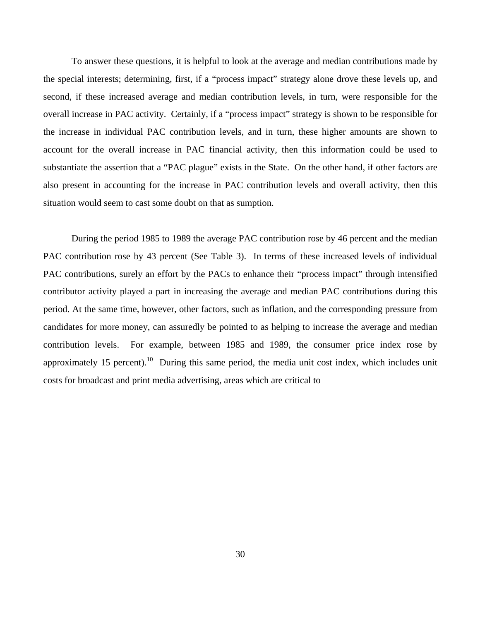To answer these questions, it is helpful to look at the average and median contributions made by the special interests; determining, first, if a "process impact" strategy alone drove these levels up, and second, if these increased average and median contribution levels, in turn, were responsible for the overall increase in PAC activity. Certainly, if a "process impact" strategy is shown to be responsible for the increase in individual PAC contribution levels, and in turn, these higher amounts are shown to account for the overall increase in PAC financial activity, then this information could be used to substantiate the assertion that a "PAC plague" exists in the State. On the other hand, if other factors are also present in accounting for the increase in PAC contribution levels and overall activity, then this situation would seem to cast some doubt on that as sumption.

 During the period 1985 to 1989 the average PAC contribution rose by 46 percent and the median PAC contribution rose by 43 percent (See Table 3). In terms of these increased levels of individual PAC contributions, surely an effort by the PACs to enhance their "process impact" through intensified contributor activity played a part in increasing the average and median PAC contributions during this period. At the same time, however, other factors, such as inflation, and the corresponding pressure from candidates for more money, can assuredly be pointed to as helping to increase the average and median contribution levels. For example, between 1985 and 1989, the consumer price index rose by approximately 15 percent).<sup>10</sup> During this same period, the media unit cost index, which includes unit costs for broadcast and print media advertising, areas which are critical to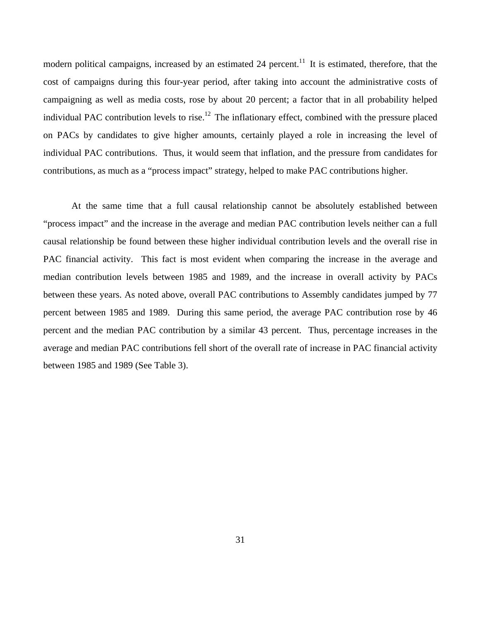modern political campaigns, increased by an estimated 24 percent.<sup>11</sup> It is estimated, therefore, that the cost of campaigns during this four-year period, after taking into account the administrative costs of campaigning as well as media costs, rose by about 20 percent; a factor that in all probability helped individual PAC contribution levels to rise.<sup>12</sup> The inflationary effect, combined with the pressure placed on PACs by candidates to give higher amounts, certainly played a role in increasing the level of individual PAC contributions. Thus, it would seem that inflation, and the pressure from candidates for contributions, as much as a "process impact" strategy, helped to make PAC contributions higher.

At the same time that a full causal relationship cannot be absolutely established between "process impact" and the increase in the average and median PAC contribution levels neither can a full causal relationship be found between these higher individual contribution levels and the overall rise in PAC financial activity. This fact is most evident when comparing the increase in the average and median contribution levels between 1985 and 1989, and the increase in overall activity by PACs between these years. As noted above, overall PAC contributions to Assembly candidates jumped by 77 percent between 1985 and 1989. During this same period, the average PAC contribution rose by 46 percent and the median PAC contribution by a similar 43 percent. Thus, percentage increases in the average and median PAC contributions fell short of the overall rate of increase in PAC financial activity between 1985 and 1989 (See Table 3).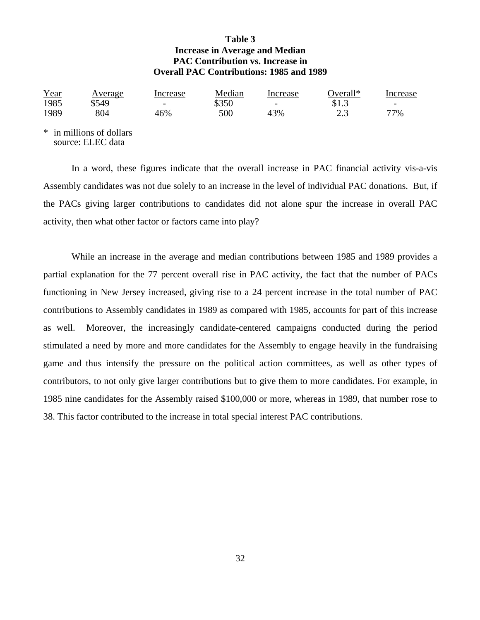# **Table 3 Increase in Average and Median PAC Contribution vs. Increase in Overall PAC Contributions: 1985 and 1989**

| Year | <u>Average</u> | Increase                 | Median | Increase                 | Overall* | Increase                 |
|------|----------------|--------------------------|--------|--------------------------|----------|--------------------------|
| 1985 | \$549          | $\overline{\phantom{0}}$ | \$350  | $\overline{\phantom{0}}$ | 31.J     | $\overline{\phantom{0}}$ |
| 1989 | 804            | 46%                      | 500    | 43%                      | ل و گ    | 77%                      |

\* in millions of dollars source: ELEC data

In a word, these figures indicate that the overall increase in PAC financial activity vis-a-vis Assembly candidates was not due solely to an increase in the level of individual PAC donations. But, if the PACs giving larger contributions to candidates did not alone spur the increase in overall PAC activity, then what other factor or factors came into play?

While an increase in the average and median contributions between 1985 and 1989 provides a partial explanation for the 77 percent overall rise in PAC activity, the fact that the number of PACs functioning in New Jersey increased, giving rise to a 24 percent increase in the total number of PAC contributions to Assembly candidates in 1989 as compared with 1985, accounts for part of this increase as well. Moreover, the increasingly candidate-centered campaigns conducted during the period stimulated a need by more and more candidates for the Assembly to engage heavily in the fundraising game and thus intensify the pressure on the political action committees, as well as other types of contributors, to not only give larger contributions but to give them to more candidates. For example, in 1985 nine candidates for the Assembly raised \$100,000 or more, whereas in 1989, that number rose to 38. This factor contributed to the increase in total special interest PAC contributions.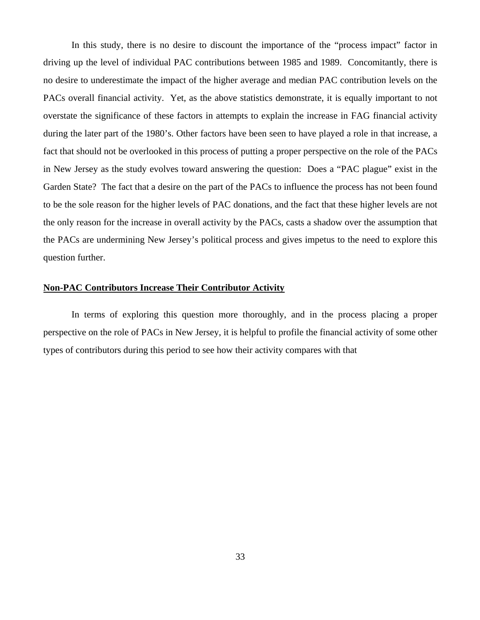In this study, there is no desire to discount the importance of the "process impact" factor in driving up the level of individual PAC contributions between 1985 and 1989. Concomitantly, there is no desire to underestimate the impact of the higher average and median PAC contribution levels on the PACs overall financial activity. Yet, as the above statistics demonstrate, it is equally important to not overstate the significance of these factors in attempts to explain the increase in FAG financial activity during the later part of the 1980's. Other factors have been seen to have played a role in that increase, a fact that should not be overlooked in this process of putting a proper perspective on the role of the PACs in New Jersey as the study evolves toward answering the question: Does a "PAC plague" exist in the Garden State? The fact that a desire on the part of the PACs to influence the process has not been found to be the sole reason for the higher levels of PAC donations, and the fact that these higher levels are not the only reason for the increase in overall activity by the PACs, casts a shadow over the assumption that the PACs are undermining New Jersey's political process and gives impetus to the need to explore this question further.

#### **Non-PAC Contributors Increase Their Contributor Activity**

 In terms of exploring this question more thoroughly, and in the process placing a proper perspective on the role of PACs in New Jersey, it is helpful to profile the financial activity of some other types of contributors during this period to see how their activity compares with that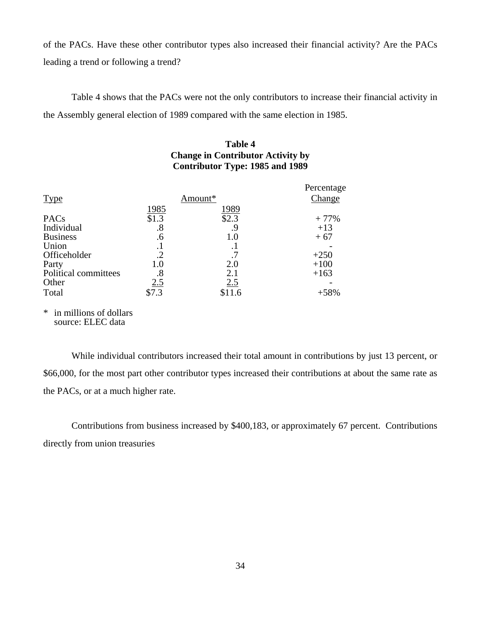of the PACs. Have these other contributor types also increased their financial activity? Are the PACs leading a trend or following a trend?

Table 4 shows that the PACs were not the only contributors to increase their financial activity in the Assembly general election of 1989 compared with the same election in 1985.

# **Table 4 Change in Contributor Activity by Contributor Type: 1985 and 1989**

|                      |            |           | Percentage |
|----------------------|------------|-----------|------------|
| <b>Type</b>          |            | Amount*   | Change     |
|                      | 1985       | 1989      |            |
| PAC <sub>s</sub>     | \$1.3      | \$2.3     | $+77%$     |
| Individual           | .8         | 9.        | $+13$      |
| <b>Business</b>      | .6         | 1.0       | $+67$      |
| Union                | .1         | $\cdot^1$ |            |
| Officeholder         | $\cdot$ .2 | .7        | $+250$     |
| Party                | 1.0        | 2.0       | $+100$     |
| Political committees | .8         | 2.1       | $+163$     |
| Other                | 2.5        | 2.5       |            |
| Total                | \$7.3      | \$11.6    | $+58%$     |
|                      |            |           |            |

\* in millions of dollars source: ELEC data

While individual contributors increased their total amount in contributions by just 13 percent, or \$66,000, for the most part other contributor types increased their contributions at about the same rate as the PACs, or at a much higher rate.

Contributions from business increased by \$400,183, or approximately 67 percent. Contributions directly from union treasuries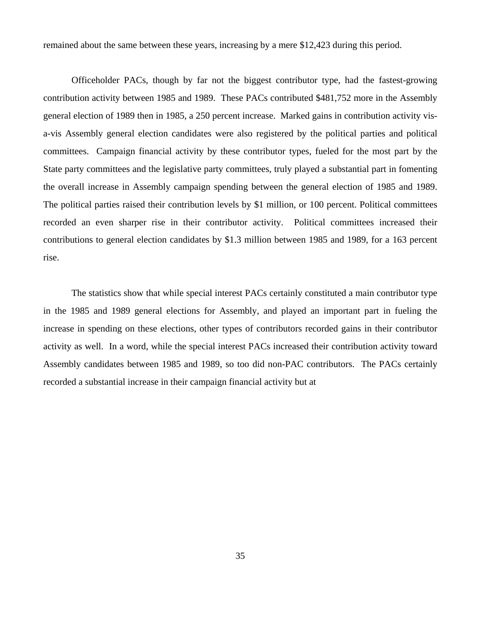remained about the same between these years, increasing by a mere \$12,423 during this period.

Officeholder PACs, though by far not the biggest contributor type, had the fastest-growing contribution activity between 1985 and 1989. These PACs contributed \$481,752 more in the Assembly general election of 1989 then in 1985, a 250 percent increase. Marked gains in contribution activity visa-vis Assembly general election candidates were also registered by the political parties and political committees. Campaign financial activity by these contributor types, fueled for the most part by the State party committees and the legislative party committees, truly played a substantial part in fomenting the overall increase in Assembly campaign spending between the general election of 1985 and 1989. The political parties raised their contribution levels by \$1 million, or 100 percent. Political committees recorded an even sharper rise in their contributor activity. Political committees increased their contributions to general election candidates by \$1.3 million between 1985 and 1989, for a 163 percent rise.

The statistics show that while special interest PACs certainly constituted a main contributor type in the 1985 and 1989 general elections for Assembly, and played an important part in fueling the increase in spending on these elections, other types of contributors recorded gains in their contributor activity as well. In a word, while the special interest PACs increased their contribution activity toward Assembly candidates between 1985 and 1989, so too did non-PAC contributors. The PACs certainly recorded a substantial increase in their campaign financial activity but at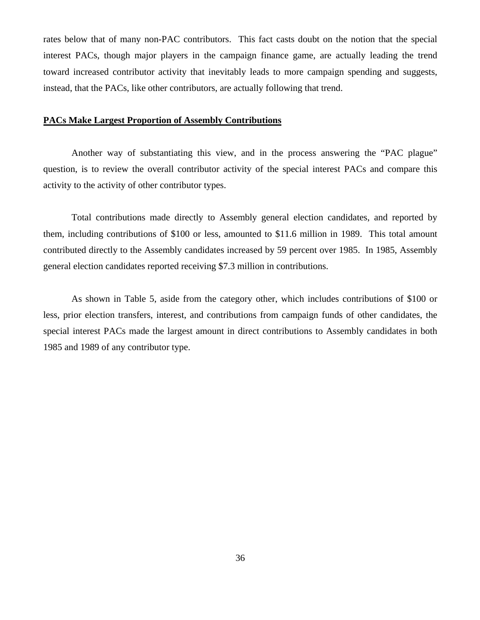rates below that of many non-PAC contributors. This fact casts doubt on the notion that the special interest PACs, though major players in the campaign finance game, are actually leading the trend toward increased contributor activity that inevitably leads to more campaign spending and suggests, instead, that the PACs, like other contributors, are actually following that trend.

#### **PACs Make Largest Proportion of Assembly Contributions**

 Another way of substantiating this view, and in the process answering the "PAC plague" question, is to review the overall contributor activity of the special interest PACs and compare this activity to the activity of other contributor types.

 Total contributions made directly to Assembly general election candidates, and reported by them, including contributions of \$100 or less, amounted to \$11.6 million in 1989. This total amount contributed directly to the Assembly candidates increased by 59 percent over 1985. In 1985, Assembly general election candidates reported receiving \$7.3 million in contributions.

 As shown in Table 5, aside from the category other, which includes contributions of \$100 or less, prior election transfers, interest, and contributions from campaign funds of other candidates, the special interest PACs made the largest amount in direct contributions to Assembly candidates in both 1985 and 1989 of any contributor type.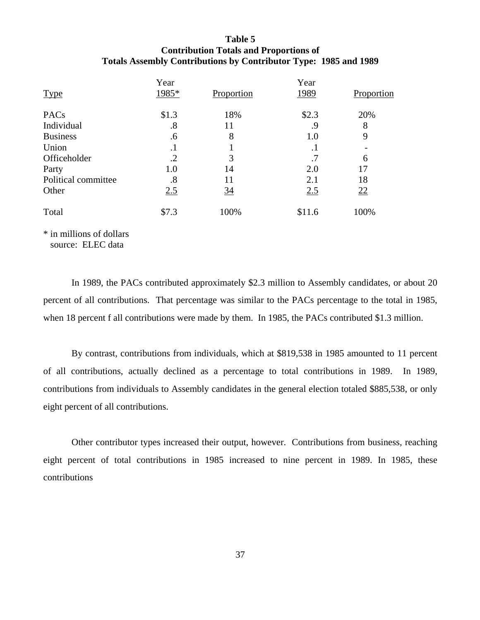## **Table 5 Contribution Totals and Proportions of Totals Assembly Contributions by Contributor Type: 1985 and 1989**

|                     | Year              |                | Year    |            |
|---------------------|-------------------|----------------|---------|------------|
| <b>Type</b>         | 1985*             | Proportion     | 1989    | Proportion |
| PACs                | \$1.3             | 18%            | \$2.3   | 20%        |
| Individual          | $\boldsymbol{.8}$ | 11             | .9      | 8          |
| <b>Business</b>     | .6                | 8              | 1.0     | 9          |
| Union               | $\cdot$           |                | $\cdot$ |            |
| Officeholder        | $\cdot$ .2        | 3              | .7      | 6          |
| Party               | 1.0               | 14             | 2.0     | 17         |
| Political committee | .8                | 11             | 2.1     | 18         |
| Other               | 2.5               | $\frac{34}{5}$ | 2.5     | 22         |
| Total               | \$7.3             | 100%           | \$11.6  | 100%       |
|                     |                   |                |         |            |

\* in millions of dollars source: ELEC data

 In 1989, the PACs contributed approximately \$2.3 million to Assembly candidates, or about 20 percent of all contributions. That percentage was similar to the PACs percentage to the total in 1985, when 18 percent f all contributions were made by them. In 1985, the PACs contributed \$1.3 million.

 By contrast, contributions from individuals, which at \$819,538 in 1985 amounted to 11 percent of all contributions, actually declined as a percentage to total contributions in 1989. In 1989, contributions from individuals to Assembly candidates in the general election totaled \$885,538, or only eight percent of all contributions.

 Other contributor types increased their output, however. Contributions from business, reaching eight percent of total contributions in 1985 increased to nine percent in 1989. In 1985, these contributions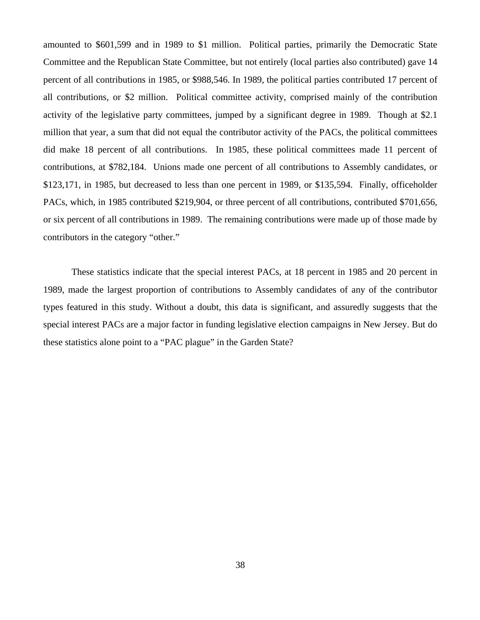amounted to \$601,599 and in 1989 to \$1 million. Political parties, primarily the Democratic State Committee and the Republican State Committee, but not entirely (local parties also contributed) gave 14 percent of all contributions in 1985, or \$988,546. In 1989, the political parties contributed 17 percent of all contributions, or \$2 million. Political committee activity, comprised mainly of the contribution activity of the legislative party committees, jumped by a significant degree in 1989. Though at \$2.1 million that year, a sum that did not equal the contributor activity of the PACs, the political committees did make 18 percent of all contributions. In 1985, these political committees made 11 percent of contributions, at \$782,184. Unions made one percent of all contributions to Assembly candidates, or \$123,171, in 1985, but decreased to less than one percent in 1989, or \$135,594. Finally, officeholder PACs, which, in 1985 contributed \$219,904, or three percent of all contributions, contributed \$701,656, or six percent of all contributions in 1989. The remaining contributions were made up of those made by contributors in the category "other."

These statistics indicate that the special interest PACs, at 18 percent in 1985 and 20 percent in 1989, made the largest proportion of contributions to Assembly candidates of any of the contributor types featured in this study. Without a doubt, this data is significant, and assuredly suggests that the special interest PACs are a major factor in funding legislative election campaigns in New Jersey. But do these statistics alone point to a "PAC plague" in the Garden State?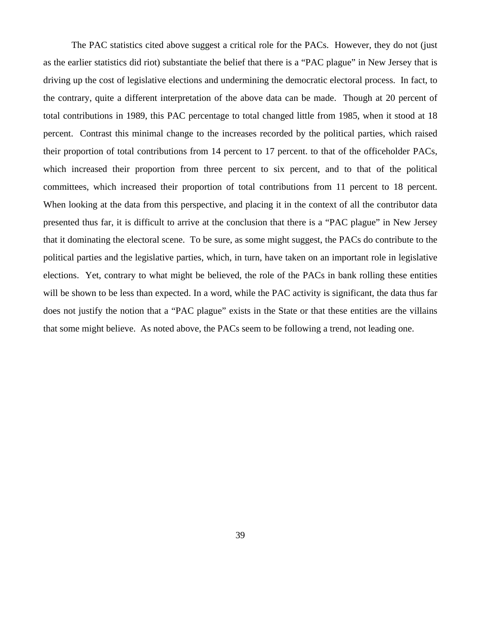The PAC statistics cited above suggest a critical role for the PACs. However, they do not (just as the earlier statistics did riot) substantiate the belief that there is a "PAC plague" in New Jersey that is driving up the cost of legislative elections and undermining the democratic electoral process. In fact, to the contrary, quite a different interpretation of the above data can be made. Though at 20 percent of total contributions in 1989, this PAC percentage to total changed little from 1985, when it stood at 18 percent. Contrast this minimal change to the increases recorded by the political parties, which raised their proportion of total contributions from 14 percent to 17 percent. to that of the officeholder PACs, which increased their proportion from three percent to six percent, and to that of the political committees, which increased their proportion of total contributions from 11 percent to 18 percent. When looking at the data from this perspective, and placing it in the context of all the contributor data presented thus far, it is difficult to arrive at the conclusion that there is a "PAC plague" in New Jersey that it dominating the electoral scene. To be sure, as some might suggest, the PACs do contribute to the political parties and the legislative parties, which, in turn, have taken on an important role in legislative elections. Yet, contrary to what might be believed, the role of the PACs in bank rolling these entities will be shown to be less than expected. In a word, while the PAC activity is significant, the data thus far does not justify the notion that a "PAC plague" exists in the State or that these entities are the villains that some might believe. As noted above, the PACs seem to be following a trend, not leading one.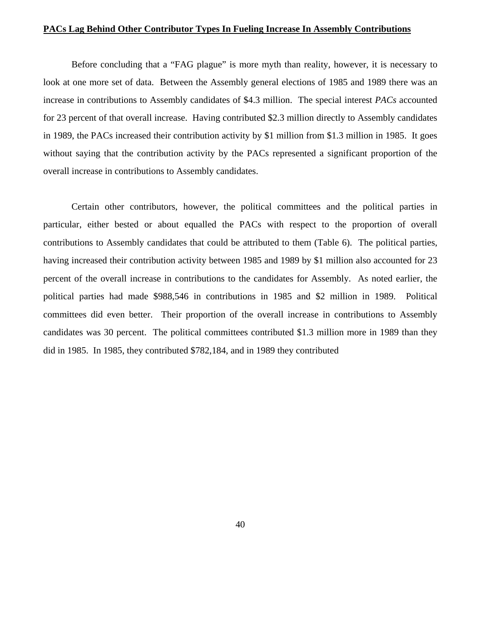#### **PACs Lag Behind Other Contributor Types In Fueling Increase In Assembly Contributions**

Before concluding that a "FAG plague" is more myth than reality, however, it is necessary to look at one more set of data. Between the Assembly general elections of 1985 and 1989 there was an increase in contributions to Assembly candidates of \$4.3 million. The special interest *PACs* accounted for 23 percent of that overall increase. Having contributed \$2.3 million directly to Assembly candidates in 1989, the PACs increased their contribution activity by \$1 million from \$1.3 million in 1985. It goes without saying that the contribution activity by the PACs represented a significant proportion of the overall increase in contributions to Assembly candidates.

Certain other contributors, however, the political committees and the political parties in particular, either bested or about equalled the PACs with respect to the proportion of overall contributions to Assembly candidates that could be attributed to them (Table 6). The political parties, having increased their contribution activity between 1985 and 1989 by \$1 million also accounted for 23 percent of the overall increase in contributions to the candidates for Assembly. As noted earlier, the political parties had made \$988,546 in contributions in 1985 and \$2 million in 1989. Political committees did even better. Their proportion of the overall increase in contributions to Assembly candidates was 30 percent. The political committees contributed \$1.3 million more in 1989 than they did in 1985. In 1985, they contributed \$782,184, and in 1989 they contributed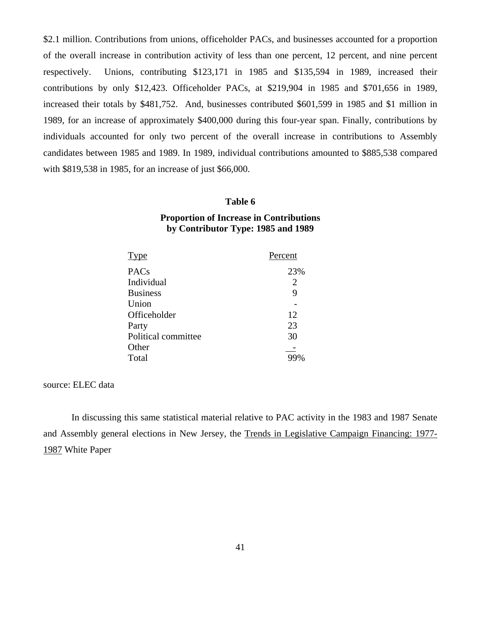\$2.1 million. Contributions from unions, officeholder PACs, and businesses accounted for a proportion of the overall increase in contribution activity of less than one percent, 12 percent, and nine percent respectively. Unions, contributing \$123,171 in 1985 and \$135,594 in 1989, increased their contributions by only \$12,423. Officeholder PACs, at \$219,904 in 1985 and \$701,656 in 1989, increased their totals by \$481,752. And, businesses contributed \$601,599 in 1985 and \$1 million in 1989, for an increase of approximately \$400,000 during this four-year span. Finally, contributions by individuals accounted for only two percent of the overall increase in contributions to Assembly candidates between 1985 and 1989. In 1989, individual contributions amounted to \$885,538 compared with \$819,538 in 1985, for an increase of just \$66,000.

#### **Table 6**

#### **Proportion of Increase in Contributions by Contributor Type: 1985 and 1989**

| <b>Type</b>         | Percent |
|---------------------|---------|
| <b>PACs</b>         | 23%     |
| Individual          | 2       |
| <b>Business</b>     | 9       |
| Union               |         |
| Officeholder        | 12      |
| Party               | 23      |
| Political committee | 30      |
| Other               |         |
| Total               |         |

source: ELEC data

 In discussing this same statistical material relative to PAC activity in the 1983 and 1987 Senate and Assembly general elections in New Jersey, the Trends in Legislative Campaign Financing: 1977- 1987 White Paper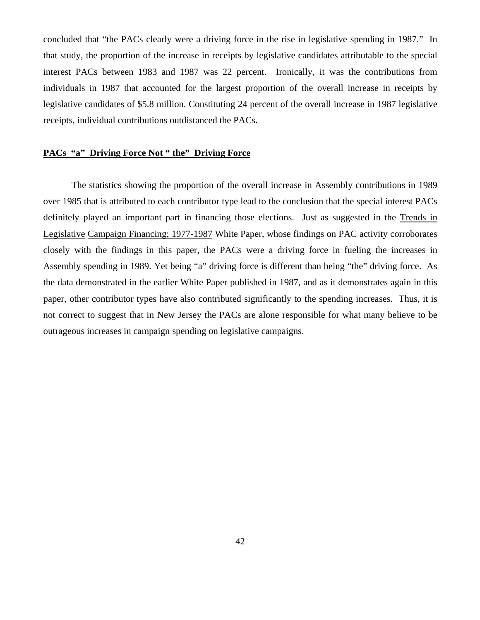concluded that "the PACs clearly were a driving force in the rise in legislative spending in 1987." In that study, the proportion of the increase in receipts by legislative candidates attributable to the special interest PACs between 1983 and 1987 was 22 percent. Ironically, it was the contributions from individuals in 1987 that accounted for the largest proportion of the overall increase in receipts by legislative candidates of \$5.8 million. Constituting 24 percent of the overall increase in 1987 legislative receipts, individual contributions outdistanced the PACs.

#### **PACs "a" Driving Force Not " the" Driving Force**

 The statistics showing the proportion of the overall increase in Assembly contributions in 1989 over 1985 that is attributed to each contributor type lead to the conclusion that the special interest PACs definitely played an important part in financing those elections. Just as suggested in the Trends in Legislative Campaign Financing; 1977-1987 White Paper, whose findings on PAC activity corroborates closely with the findings in this paper, the PACs were a driving force in fueling the increases in Assembly spending in 1989. Yet being "a" driving force is different than being "the" driving force. As the data demonstrated in the earlier White Paper published in 1987, and as it demonstrates again in this paper, other contributor types have also contributed significantly to the spending increases. Thus, it is not correct to suggest that in New Jersey the PACs are alone responsible for what many believe to be outrageous increases in campaign spending on legislative campaigns.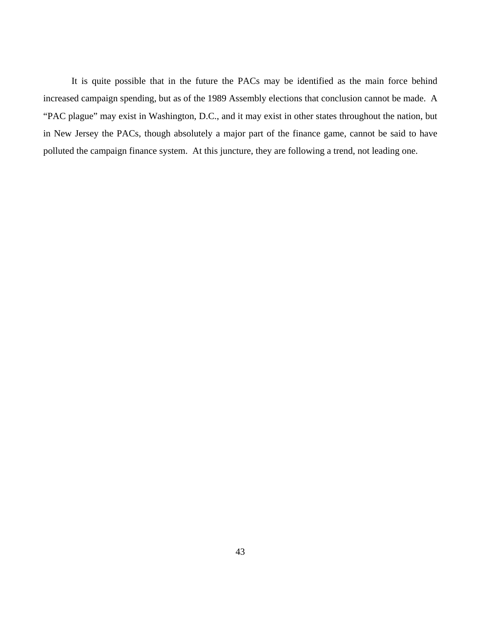It is quite possible that in the future the PACs may be identified as the main force behind increased campaign spending, but as of the 1989 Assembly elections that conclusion cannot be made. A "PAC plague" may exist in Washington, D.C., and it may exist in other states throughout the nation, but in New Jersey the PACs, though absolutely a major part of the finance game, cannot be said to have polluted the campaign finance system. At this juncture, they are following a trend, not leading one.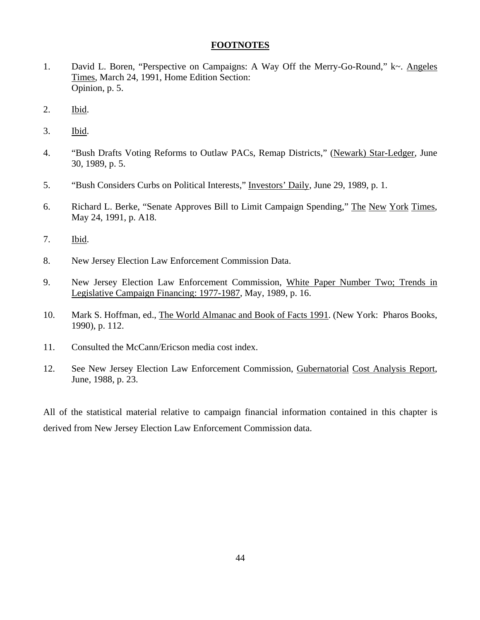#### **FOOTNOTES**

- 1. David L. Boren, "Perspective on Campaigns: A Way Off the Merry-Go-Round," k~. Angeles Times, March 24, 1991, Home Edition Section: Opinion, p. 5.
- 2. Ibid.
- 3. Ibid.
- 4. "Bush Drafts Voting Reforms to Outlaw PACs, Remap Districts," (Newark) Star-Ledger, June 30, 1989, p. 5.
- 5. "Bush Considers Curbs on Political Interests," Investors' Daily, June 29, 1989, p. 1.
- 6. Richard L. Berke, "Senate Approves Bill to Limit Campaign Spending," The New York Times, May 24, 1991, p. A18.
- 7. Ibid.
- 8. New Jersey Election Law Enforcement Commission Data.
- 9. New Jersey Election Law Enforcement Commission, White Paper Number Two; Trends in Legislative Campaign Financing: 1977-1987, May, 1989, p. 16.
- 10. Mark S. Hoffman, ed., The World Almanac and Book of Facts 1991. (New York: Pharos Books, 1990), p. 112.
- 11. Consulted the McCann/Ericson media cost index.
- 12. See New Jersey Election Law Enforcement Commission, Gubernatorial Cost Analysis Report, June, 1988, p. 23.

All of the statistical material relative to campaign financial information contained in this chapter is derived from New Jersey Election Law Enforcement Commission data.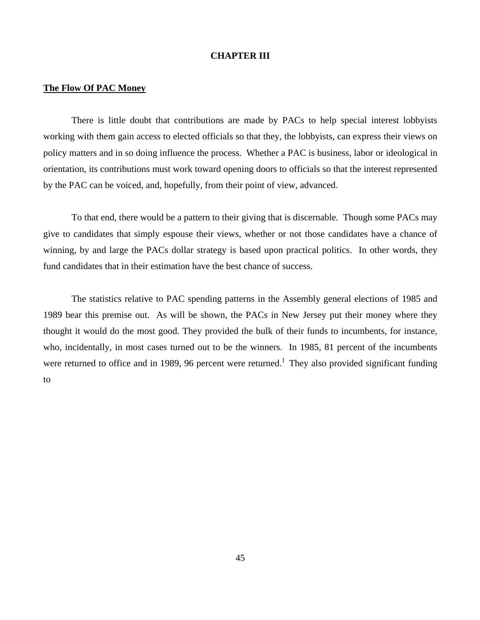#### **CHAPTER III**

#### **The Flow Of PAC Money**

 There is little doubt that contributions are made by PACs to help special interest lobbyists working with them gain access to elected officials so that they, the lobbyists, can express their views on policy matters and in so doing influence the process. Whether a PAC is business, labor or ideological in orientation, its contributions must work toward opening doors to officials so that the interest represented by the PAC can be voiced, and, hopefully, from their point of view, advanced.

 To that end, there would be a pattern to their giving that is discernable. Though some PACs may give to candidates that simply espouse their views, whether or not those candidates have a chance of winning, by and large the PACs dollar strategy is based upon practical politics. In other words, they fund candidates that in their estimation have the best chance of success.

 The statistics relative to PAC spending patterns in the Assembly general elections of 1985 and 1989 bear this premise out. As will be shown, the PACs in New Jersey put their money where they thought it would do the most good. They provided the bulk of their funds to incumbents, for instance, who, incidentally, in most cases turned out to be the winners. In 1985, 81 percent of the incumbents were returned to office and in 1989, 96 percent were returned.<sup>1</sup> They also provided significant funding to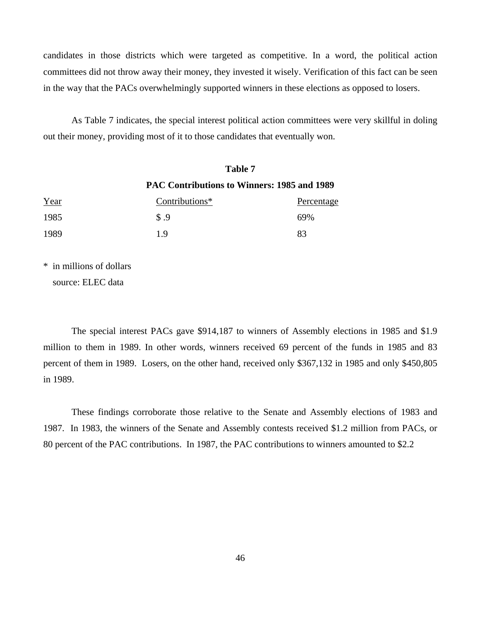candidates in those districts which were targeted as competitive. In a word, the political action committees did not throw away their money, they invested it wisely. Verification of this fact can be seen in the way that the PACs overwhelmingly supported winners in these elections as opposed to losers.

 As Table 7 indicates, the special interest political action committees were very skillful in doling out their money, providing most of it to those candidates that eventually won.

| Year | Table 7                                            |            |  |  |  |
|------|----------------------------------------------------|------------|--|--|--|
|      | <b>PAC Contributions to Winners: 1985 and 1989</b> |            |  |  |  |
|      | Contributions*                                     | Percentage |  |  |  |
| 1985 | $\sqrt{9}$                                         | 69%        |  |  |  |
| 1989 | 1.9                                                | 83         |  |  |  |

\* in millions of dollars

source: ELEC data

 The special interest PACs gave \$914,187 to winners of Assembly elections in 1985 and \$1.9 million to them in 1989. In other words, winners received 69 percent of the funds in 1985 and 83 percent of them in 1989. Losers, on the other hand, received only \$367,132 in 1985 and only \$450,805 in 1989.

 These findings corroborate those relative to the Senate and Assembly elections of 1983 and 1987. In 1983, the winners of the Senate and Assembly contests received \$1.2 million from PACs, or 80 percent of the PAC contributions. In 1987, the PAC contributions to winners amounted to \$2.2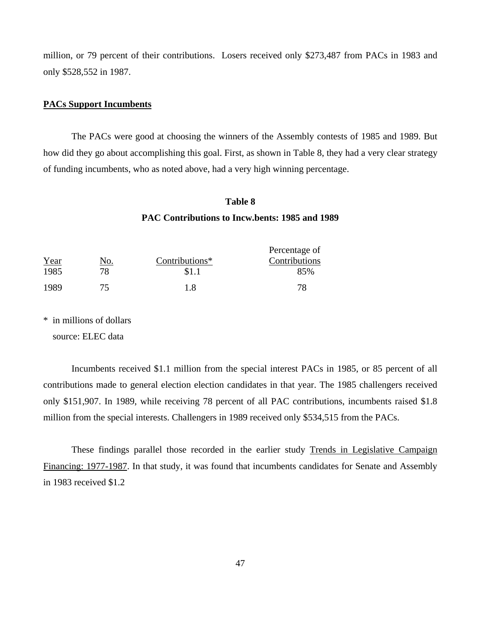million, or 79 percent of their contributions. Losers received only \$273,487 from PACs in 1983 and only \$528,552 in 1987.

#### **PACs Support Incumbents**

 The PACs were good at choosing the winners of the Assembly contests of 1985 and 1989. But how did they go about accomplishing this goal. First, as shown in Table 8, they had a very clear strategy of funding incumbents, who as noted above, had a very high winning percentage.

# **Table 8 PAC Contributions to Incw.bents: 1985 and 1989**

|      |     |                | Percentage of |
|------|-----|----------------|---------------|
| Year | NO. | Contributions* | Contributions |
| 1985 | 78. | \$1.1          | 85%           |
| 1989 | 75. | 1 X            |               |

\* in millions of dollars source: ELEC data

 Incumbents received \$1.1 million from the special interest PACs in 1985, or 85 percent of all contributions made to general election election candidates in that year. The 1985 challengers received only \$151,907. In 1989, while receiving 78 percent of all PAC contributions, incumbents raised \$1.8 million from the special interests. Challengers in 1989 received only \$534,515 from the PACs.

 These findings parallel those recorded in the earlier study Trends in Legislative Campaign Financing: 1977-1987. In that study, it was found that incumbents candidates for Senate and Assembly in 1983 received \$1.2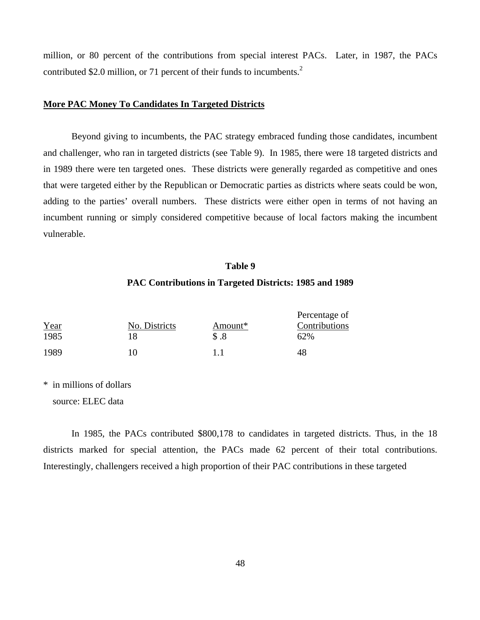million, or 80 percent of the contributions from special interest PACs. Later, in 1987, the PACs contributed \$2.0 million, or 71 percent of their funds to incumbents.<sup>2</sup>

#### **More PAC Money To Candidates In Targeted Districts**

 Beyond giving to incumbents, the PAC strategy embraced funding those candidates, incumbent and challenger, who ran in targeted districts (see Table 9). In 1985, there were 18 targeted districts and in 1989 there were ten targeted ones. These districts were generally regarded as competitive and ones that were targeted either by the Republican or Democratic parties as districts where seats could be won, adding to the parties' overall numbers. These districts were either open in terms of not having an incumbent running or simply considered competitive because of local factors making the incumbent vulnerable.

# **Table 9 PAC Contributions in Targeted Districts: 1985 and 1989**

|      |               |         | Percentage of |
|------|---------------|---------|---------------|
| Year | No. Districts | Amount* | Contributions |
| 1985 |               | S .8    | 62%           |
| 1989 |               |         |               |

\* in millions of dollars

source: ELEC data

 In 1985, the PACs contributed \$800,178 to candidates in targeted districts. Thus, in the 18 districts marked for special attention, the PACs made 62 percent of their total contributions. Interestingly, challengers received a high proportion of their PAC contributions in these targeted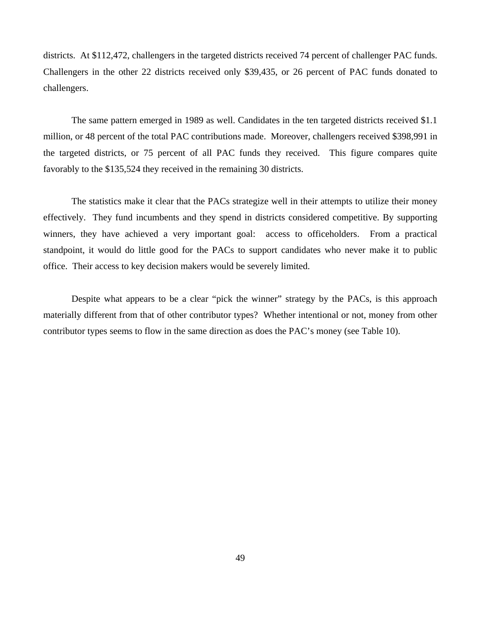districts. At \$112,472, challengers in the targeted districts received 74 percent of challenger PAC funds. Challengers in the other 22 districts received only \$39,435, or 26 percent of PAC funds donated to challengers.

 The same pattern emerged in 1989 as well. Candidates in the ten targeted districts received \$1.1 million, or 48 percent of the total PAC contributions made. Moreover, challengers received \$398,991 in the targeted districts, or 75 percent of all PAC funds they received. This figure compares quite favorably to the \$135,524 they received in the remaining 30 districts.

 The statistics make it clear that the PACs strategize well in their attempts to utilize their money effectively. They fund incumbents and they spend in districts considered competitive. By supporting winners, they have achieved a very important goal: access to officeholders. From a practical standpoint, it would do little good for the PACs to support candidates who never make it to public office. Their access to key decision makers would be severely limited.

 Despite what appears to be a clear "pick the winner" strategy by the PACs, is this approach materially different from that of other contributor types? Whether intentional or not, money from other contributor types seems to flow in the same direction as does the PAC's money (see Table 10).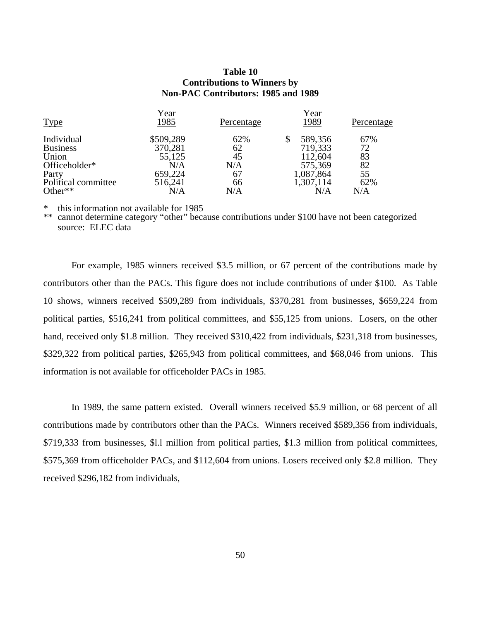#### **Table 10 Contributions to Winners by Non-PAC Contributors: 1985 and 1989**

| Year      |            | Year          |            |
|-----------|------------|---------------|------------|
| 1985      | Percentage | 1989          | Percentage |
| \$509,289 | 62%        | 589,356<br>\$ | 67%        |
| 370,281   | 62         | 719,333       | 72         |
| 55,125    | 45         | 112,604       | 83         |
| N/A       | N/A        | 575,369       | 82         |
| 659,224   | 67         | 1,087,864     | 55         |
| 516,241   | 66         | 1,307,114     | 62%        |
| N/A       | N/A        | N/A           | N/A        |
|           |            |               |            |

this information not available for 1985

\*\* cannot determine category "other" because contributions under \$100 have not been categorized source: ELEC data

For example, 1985 winners received \$3.5 million, or 67 percent of the contributions made by contributors other than the PACs. This figure does not include contributions of under \$100. As Table 10 shows, winners received \$509,289 from individuals, \$370,281 from businesses, \$659,224 from political parties, \$516,241 from political committees, and \$55,125 from unions. Losers, on the other hand, received only \$1.8 million. They received \$310,422 from individuals, \$231,318 from businesses, \$329,322 from political parties, \$265,943 from political committees, and \$68,046 from unions. This information is not available for officeholder PACs in 1985.

In 1989, the same pattern existed. Overall winners received \$5.9 million, or 68 percent of all contributions made by contributors other than the PACs. Winners received \$589,356 from individuals, \$719,333 from businesses, \$l.l million from political parties, \$1.3 million from political committees, \$575,369 from officeholder PACs, and \$112,604 from unions. Losers received only \$2.8 million. They received \$296,182 from individuals,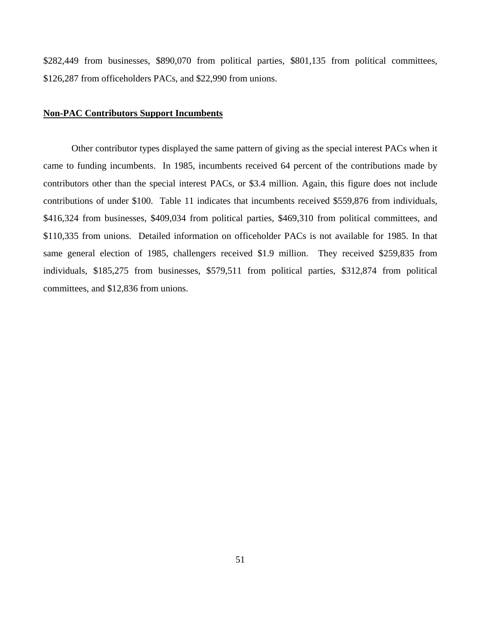\$282,449 from businesses, \$890,070 from political parties, \$801,135 from political committees, \$126,287 from officeholders PACs, and \$22,990 from unions.

#### **Non-PAC Contributors Support Incumbents**

Other contributor types displayed the same pattern of giving as the special interest PACs when it came to funding incumbents. In 1985, incumbents received 64 percent of the contributions made by contributors other than the special interest PACs, or \$3.4 million. Again, this figure does not include contributions of under \$100. Table 11 indicates that incumbents received \$559,876 from individuals, \$416,324 from businesses, \$409,034 from political parties, \$469,310 from political committees, and \$110,335 from unions. Detailed information on officeholder PACs is not available for 1985. In that same general election of 1985, challengers received \$1.9 million. They received \$259,835 from individuals, \$185,275 from businesses, \$579,511 from political parties, \$312,874 from political committees, and \$12,836 from unions.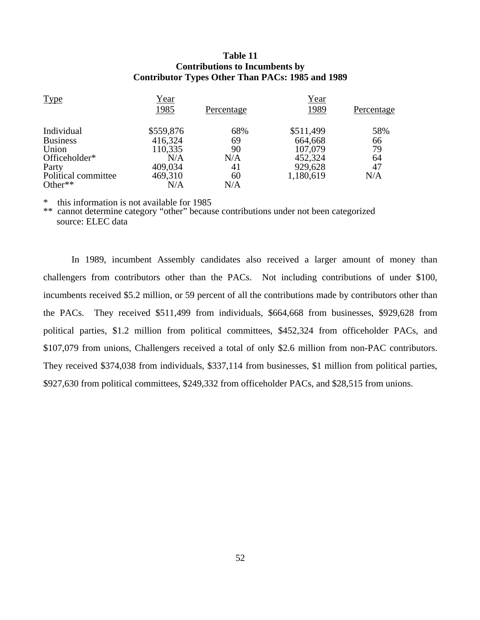#### **Table 11 Contributions to Incumbents by Contributor Types Other Than PACs: 1985 and 1989**

| <b>Type</b>         | <u>Year</u> |            | <u>Year</u> |            |
|---------------------|-------------|------------|-------------|------------|
|                     | <u>1985</u> | Percentage | 1989        | Percentage |
| Individual          | \$559,876   | 68%        | \$511,499   | 58%        |
| <b>Business</b>     | 416,324     | 69         | 664,668     | 66         |
| Union               | 110,335     | 90         | 107,079     | 79         |
| Officeholder*       | N/A         | N/A        | 452,324     | 64         |
| Party               | 409,034     | 41         | 929,628     | 47         |
| Political committee | 469,310     | 60         | 1,180,619   | N/A        |
| Other $**$          | N/A         | N/A        |             |            |

this information is not available for 1985

\*\* cannot determine category "other" because contributions under not been categorized source: ELEC data

 In 1989, incumbent Assembly candidates also received a larger amount of money than challengers from contributors other than the PACs. Not including contributions of under \$100, incumbents received \$5.2 million, or 59 percent of all the contributions made by contributors other than the PACs. They received \$511,499 from individuals, \$664,668 from businesses, \$929,628 from political parties, \$1.2 million from political committees, \$452,324 from officeholder PACs, and \$107,079 from unions, Challengers received a total of only \$2.6 million from non-PAC contributors. They received \$374,038 from individuals, \$337,114 from businesses, \$1 million from political parties, \$927,630 from political committees, \$249,332 from officeholder PACs, and \$28,515 from unions.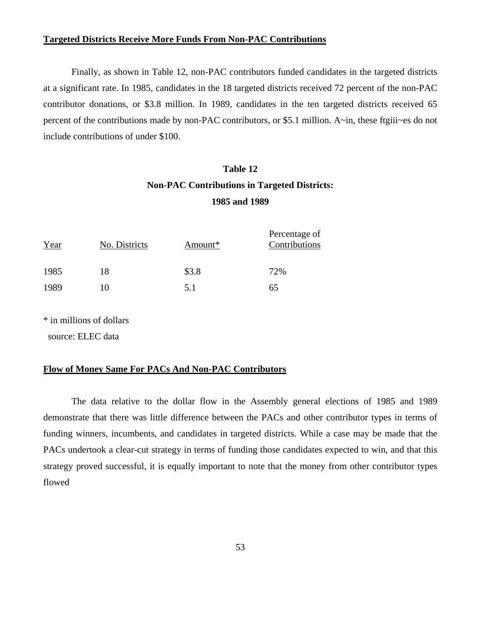#### **Targeted Districts Receive More Funds From Non-PAC Contributions**

 Finally, as shown in Table 12, non-PAC contributors funded candidates in the targeted districts at a significant rate. In 1985, candidates in the 18 targeted districts received 72 percent of the non-PAC contributor donations, or \$3.8 million. In 1989, candidates in the ten targeted districts received 65 percent of the contributions made by non-PAC contributors, or \$5.1 million. A~in, these ftgiii~es do not include contributions of under \$100.

# **Table 12 Non-PAC Contributions in Targeted Districts: 1985 and 1989**

| Year | No. Districts | Amount* | Percentage of<br>Contributions |
|------|---------------|---------|--------------------------------|
| 1985 | 18            | \$3.8   | 72%                            |
| 1989 | 10            | 5.1     | 65                             |

\* in millions of dollars

source: ELEC data

#### **Flow of Money Same For PACs And Non-PAC Contributors**

 The data relative to the dollar flow in the Assembly general elections of 1985 and 1989 demonstrate that there was little difference between the PACs and other contributor types in terms of funding winners, incumbents, and candidates in targeted districts. While a case may be made that the PACs undertook a clear-cut strategy in terms of funding those candidates expected to win, and that this strategy proved successful, it is equally important to note that the money from other contributor types flowed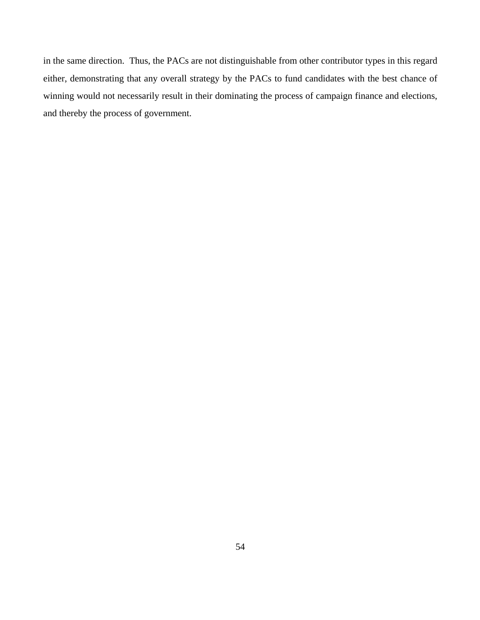in the same direction. Thus, the PACs are not distinguishable from other contributor types in this regard either, demonstrating that any overall strategy by the PACs to fund candidates with the best chance of winning would not necessarily result in their dominating the process of campaign finance and elections, and thereby the process of government.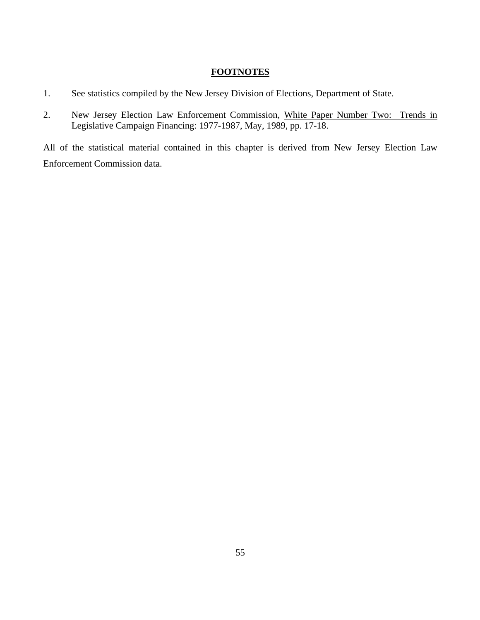# **FOOTNOTES**

- 1. See statistics compiled by the New Jersey Division of Elections, Department of State.
- 2. New Jersey Election Law Enforcement Commission, White Paper Number Two: Trends in Legislative Campaign Financing: 1977-1987, May, 1989, pp. 17-18.

All of the statistical material contained in this chapter is derived from New Jersey Election Law Enforcement Commission data.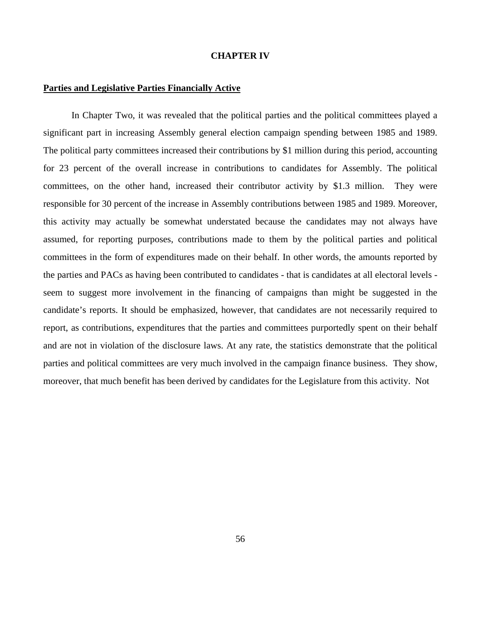#### **CHAPTER IV**

#### **Parties and Legislative Parties Financially Active**

In Chapter Two, it was revealed that the political parties and the political committees played a significant part in increasing Assembly general election campaign spending between 1985 and 1989. The political party committees increased their contributions by \$1 million during this period, accounting for 23 percent of the overall increase in contributions to candidates for Assembly. The political committees, on the other hand, increased their contributor activity by \$1.3 million. They were responsible for 30 percent of the increase in Assembly contributions between 1985 and 1989. Moreover, this activity may actually be somewhat understated because the candidates may not always have assumed, for reporting purposes, contributions made to them by the political parties and political committees in the form of expenditures made on their behalf. In other words, the amounts reported by the parties and PACs as having been contributed to candidates - that is candidates at all electoral levels seem to suggest more involvement in the financing of campaigns than might be suggested in the candidate's reports. It should be emphasized, however, that candidates are not necessarily required to report, as contributions, expenditures that the parties and committees purportedly spent on their behalf and are not in violation of the disclosure laws. At any rate, the statistics demonstrate that the political parties and political committees are very much involved in the campaign finance business. They show, moreover, that much benefit has been derived by candidates for the Legislature from this activity. Not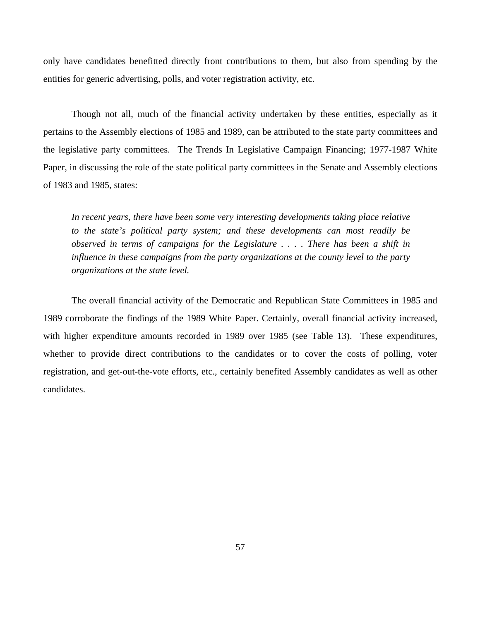only have candidates benefitted directly front contributions to them, but also from spending by the entities for generic advertising, polls, and voter registration activity, etc.

Though not all, much of the financial activity undertaken by these entities, especially as it pertains to the Assembly elections of 1985 and 1989, can be attributed to the state party committees and the legislative party committees. The Trends In Legislative Campaign Financing; 1977-1987 White Paper, in discussing the role of the state political party committees in the Senate and Assembly elections of 1983 and 1985, states:

*In recent years, there have been some very interesting developments taking place relative to the state's political party system; and these developments can most readily be observed in terms of campaigns for the Legislature . . . . There has been a shift in influence in these campaigns from the party organizations at the county level to the party organizations at the state level.*

The overall financial activity of the Democratic and Republican State Committees in 1985 and 1989 corroborate the findings of the 1989 White Paper. Certainly, overall financial activity increased, with higher expenditure amounts recorded in 1989 over 1985 (see Table 13). These expenditures, whether to provide direct contributions to the candidates or to cover the costs of polling, voter registration, and get-out-the-vote efforts, etc., certainly benefited Assembly candidates as well as other candidates.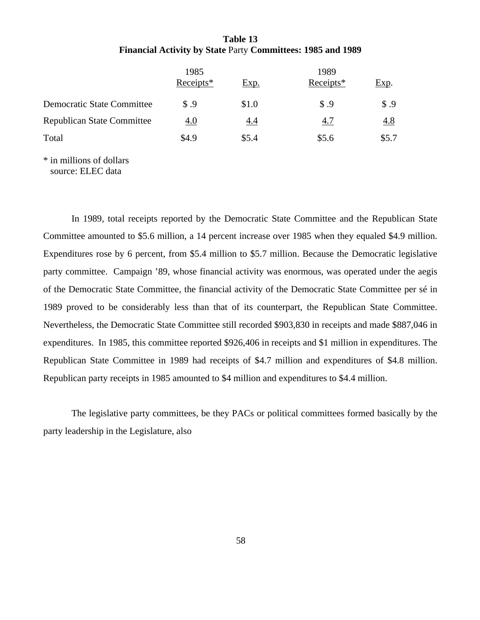## **Table 13 Financial Activity by State** Party **Committees: 1985 and 1989**

|                                   | 1985        |            | 1989          |               |  |
|-----------------------------------|-------------|------------|---------------|---------------|--|
|                                   | Receipts*   | Exp.       | Receipts*     | Exp.          |  |
| <b>Democratic State Committee</b> | <b>S</b> .9 | \$1.0      | $\text{\$}.9$ | $\text{\$}.9$ |  |
| <b>Republican State Committee</b> | 4.0         | <u>4.4</u> | <u>4.7</u>    | <u>4.8</u>    |  |
| Total                             | \$4.9       | \$5.4      | \$5.6         | \$5.7         |  |
| * in millions of dollars          |             |            |               |               |  |

source: ELEC data

 In 1989, total receipts reported by the Democratic State Committee and the Republican State Committee amounted to \$5.6 million, a 14 percent increase over 1985 when they equaled \$4.9 million. Expenditures rose by 6 percent, from \$5.4 million to \$5.7 million. Because the Democratic legislative party committee. Campaign '89, whose financial activity was enormous, was operated under the aegis of the Democratic State Committee, the financial activity of the Democratic State Committee per sé in 1989 proved to be considerably less than that of its counterpart, the Republican State Committee. Nevertheless, the Democratic State Committee still recorded \$903,830 in receipts and made \$887,046 in expenditures. In 1985, this committee reported \$926,406 in receipts and \$1 million in expenditures. The Republican State Committee in 1989 had receipts of \$4.7 million and expenditures of \$4.8 million. Republican party receipts in 1985 amounted to \$4 million and expenditures to \$4.4 million.

 The legislative party committees, be they PACs or political committees formed basically by the party leadership in the Legislature, also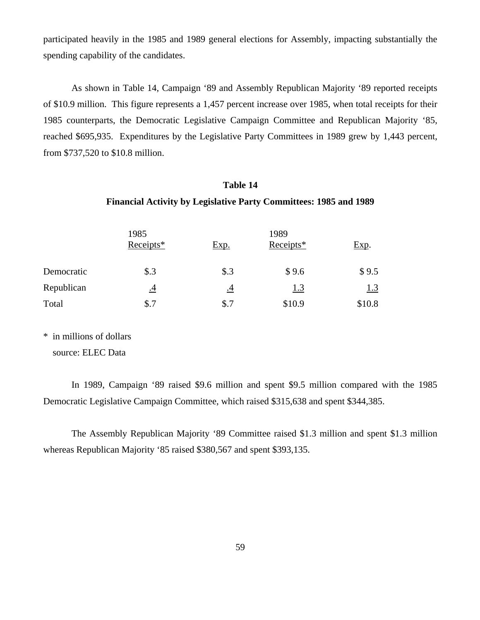participated heavily in the 1985 and 1989 general elections for Assembly, impacting substantially the spending capability of the candidates.

 As shown in Table 14, Campaign '89 and Assembly Republican Majority '89 reported receipts of \$10.9 million. This figure represents a 1,457 percent increase over 1985, when total receipts for their 1985 counterparts, the Democratic Legislative Campaign Committee and Republican Majority '85, reached \$695,935. Expenditures by the Legislative Party Committees in 1989 grew by 1,443 percent, from \$737,520 to \$10.8 million.

# **Table 14**

#### **Financial Activity by Legislative Party Committees: 1985 and 1989**

|            | 1985        |                      | 1989       |        |  |
|------------|-------------|----------------------|------------|--------|--|
|            | $Receipts*$ | <u>Exp.</u>          | Receipts*  | Exp.   |  |
| Democratic | $\$\cdot3$  | $\$\cdot3$           | \$9.6      | \$9.5  |  |
| Republican | <u>.4</u>   | $\cdot$ <sup>4</sup> | <u>1.3</u> | 1.3    |  |
| Total      | \$.7        | \$.7                 | \$10.9     | \$10.8 |  |

\* in millions of dollars

source: ELEC Data

 In 1989, Campaign '89 raised \$9.6 million and spent \$9.5 million compared with the 1985 Democratic Legislative Campaign Committee, which raised \$315,638 and spent \$344,385.

 The Assembly Republican Majority '89 Committee raised \$1.3 million and spent \$1.3 million whereas Republican Majority '85 raised \$380,567 and spent \$393,135.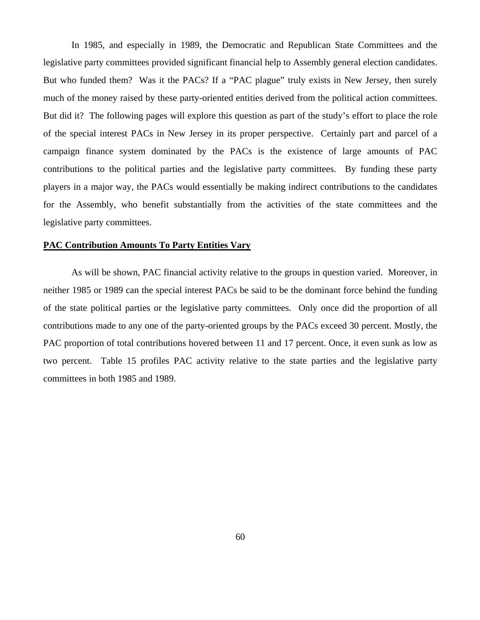In 1985, and especially in 1989, the Democratic and Republican State Committees and the legislative party committees provided significant financial help to Assembly general election candidates. But who funded them? Was it the PACs? If a "PAC plague" truly exists in New Jersey, then surely much of the money raised by these party-oriented entities derived from the political action committees. But did it? The following pages will explore this question as part of the study's effort to place the role of the special interest PACs in New Jersey in its proper perspective. Certainly part and parcel of a campaign finance system dominated by the PACs is the existence of large amounts of PAC contributions to the political parties and the legislative party committees. By funding these party players in a major way, the PACs would essentially be making indirect contributions to the candidates for the Assembly, who benefit substantially from the activities of the state committees and the legislative party committees.

#### **PAC Contribution Amounts To Party Entities Vary**

 As will be shown, PAC financial activity relative to the groups in question varied. Moreover, in neither 1985 or 1989 can the special interest PACs be said to be the dominant force behind the funding of the state political parties or the legislative party committees. Only once did the proportion of all contributions made to any one of the party-oriented groups by the PACs exceed 30 percent. Mostly, the PAC proportion of total contributions hovered between 11 and 17 percent. Once, it even sunk as low as two percent. Table 15 profiles PAC activity relative to the state parties and the legislative party committees in both 1985 and 1989.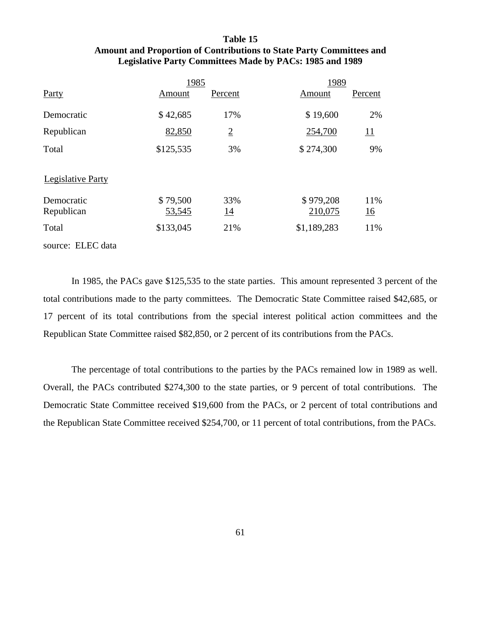## **Table 15 Amount and Proportion of Contributions to State Party Committees and Legislative Party Committees Made by PACs: 1985 and 1989**

|                          | 1985      |                |             | 1989       |  |
|--------------------------|-----------|----------------|-------------|------------|--|
| Party                    | Amount    | Percent        | Amount      | Percent    |  |
| Democratic               | \$42,685  | 17%            | \$19,600    | 2%         |  |
| Republican               | 82,850    | $\overline{2}$ | 254,700     | <u> 11</u> |  |
| Total                    | \$125,535 | 3%             | \$274,300   | 9%         |  |
| <b>Legislative Party</b> |           |                |             |            |  |
| Democratic               | \$79,500  | 33%            | \$979,208   | 11%        |  |
| Republican               | 53,545    | <u>14</u>      | 210,075     | <u>16</u>  |  |
| Total                    | \$133,045 | 21%            | \$1,189,283 | 11%        |  |
| source: ELEC data        |           |                |             |            |  |

In 1985, the PACs gave \$125,535 to the state parties. This amount represented 3 percent of the total contributions made to the party committees. The Democratic State Committee raised \$42,685, or 17 percent of its total contributions from the special interest political action committees and the Republican State Committee raised \$82,850, or 2 percent of its contributions from the PACs.

The percentage of total contributions to the parties by the PACs remained low in 1989 as well. Overall, the PACs contributed \$274,300 to the state parties, or 9 percent of total contributions. The Democratic State Committee received \$19,600 from the PACs, or 2 percent of total contributions and the Republican State Committee received \$254,700, or 11 percent of total contributions, from the PACs.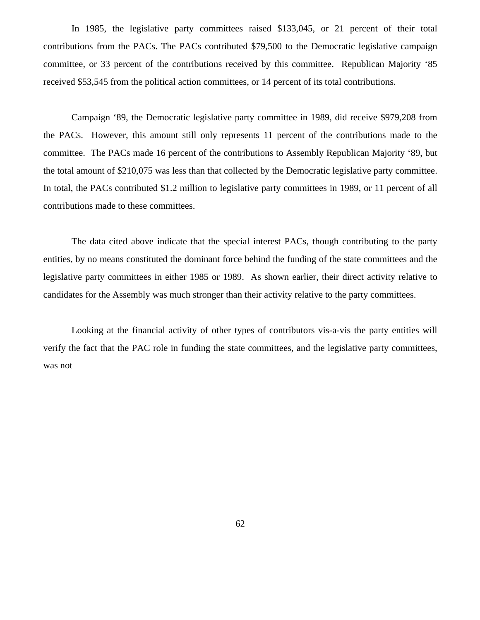In 1985, the legislative party committees raised \$133,045, or 21 percent of their total contributions from the PACs. The PACs contributed \$79,500 to the Democratic legislative campaign committee, or 33 percent of the contributions received by this committee. Republican Majority '85 received \$53,545 from the political action committees, or 14 percent of its total contributions.

 Campaign '89, the Democratic legislative party committee in 1989, did receive \$979,208 from the PACs. However, this amount still only represents 11 percent of the contributions made to the committee. The PACs made 16 percent of the contributions to Assembly Republican Majority '89, but the total amount of \$210,075 was less than that collected by the Democratic legislative party committee. In total, the PACs contributed \$1.2 million to legislative party committees in 1989, or 11 percent of all contributions made to these committees.

 The data cited above indicate that the special interest PACs, though contributing to the party entities, by no means constituted the dominant force behind the funding of the state committees and the legislative party committees in either 1985 or 1989. As shown earlier, their direct activity relative to candidates for the Assembly was much stronger than their activity relative to the party committees.

 Looking at the financial activity of other types of contributors vis-a-vis the party entities will verify the fact that the PAC role in funding the state committees, and the legislative party committees, was not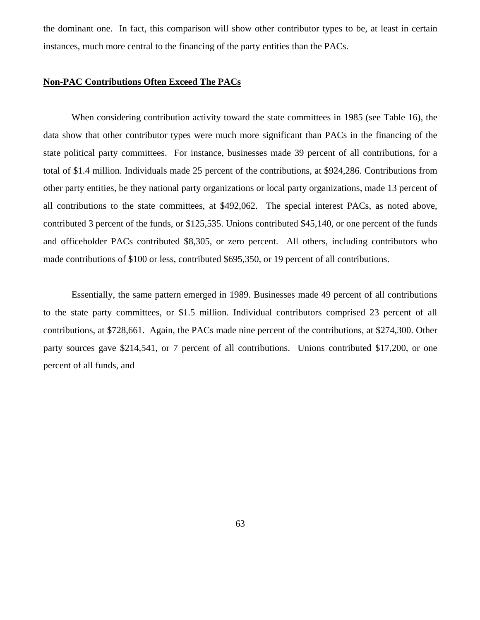the dominant one. In fact, this comparison will show other contributor types to be, at least in certain instances, much more central to the financing of the party entities than the PACs.

#### **Non-PAC Contributions Often Exceed The PACs**

When considering contribution activity toward the state committees in 1985 (see Table 16), the data show that other contributor types were much more significant than PACs in the financing of the state political party committees. For instance, businesses made 39 percent of all contributions, for a total of \$1.4 million. Individuals made 25 percent of the contributions, at \$924,286. Contributions from other party entities, be they national party organizations or local party organizations, made 13 percent of all contributions to the state committees, at \$492,062. The special interest PACs, as noted above, contributed 3 percent of the funds, or \$125,535. Unions contributed \$45,140, or one percent of the funds and officeholder PACs contributed \$8,305, or zero percent. All others, including contributors who made contributions of \$100 or less, contributed \$695,350, or 19 percent of all contributions.

Essentially, the same pattern emerged in 1989. Businesses made 49 percent of all contributions to the state party committees, or \$1.5 million. Individual contributors comprised 23 percent of all contributions, at \$728,661. Again, the PACs made nine percent of the contributions, at \$274,300. Other party sources gave \$214,541, or 7 percent of all contributions. Unions contributed \$17,200, or one percent of all funds, and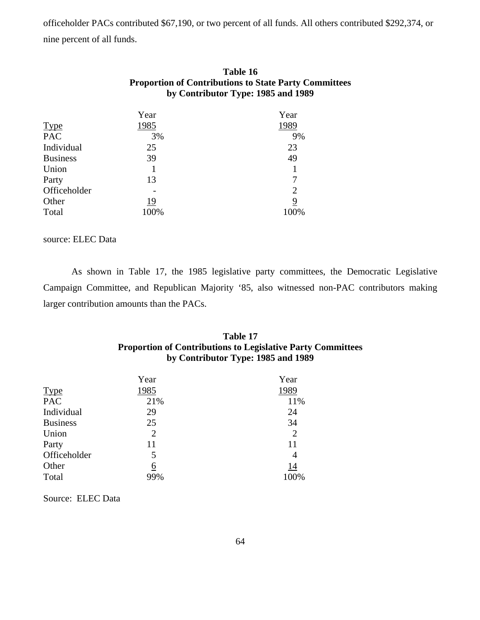officeholder PACs contributed \$67,190, or two percent of all funds. All others contributed \$292,374, or nine percent of all funds.

| Table 16                                                     |
|--------------------------------------------------------------|
| <b>Proportion of Contributions to State Party Committees</b> |
| by Contributor Type: 1985 and 1989                           |

|                 | Year | Year           |
|-----------------|------|----------------|
| <b>Type</b>     | 1985 | 1989           |
| <b>PAC</b>      | 3%   | 9%             |
| Individual      | 25   | 23             |
| <b>Business</b> | 39   | 49             |
| Union           |      | 1              |
| Party           | 13   | 7              |
| Officeholder    |      | $\overline{2}$ |
| Other           | 19   | 9              |
| Total           | 100% | 100%           |

source: ELEC Data

 As shown in Table 17, the 1985 legislative party committees, the Democratic Legislative Campaign Committee, and Republican Majority '85, also witnessed non-PAC contributors making larger contribution amounts than the PACs.

# **Table 17 Proportion of Contributions to Legislative Party Committees by Contributor Type: 1985 and 1989**

|                 | Year           | Year |
|-----------------|----------------|------|
| <b>Type</b>     | 1985           | 1989 |
| <b>PAC</b>      | 21%            | 11%  |
| Individual      | 29             | 24   |
| <b>Business</b> | 25             | 34   |
| Union           | $\overline{2}$ | 2    |
| Party           | 11             | 11   |
| Officeholder    | 5              | 4    |
| Other           | 6              | 14   |
| Total           | 99%            | 100% |

Source: ELEC Data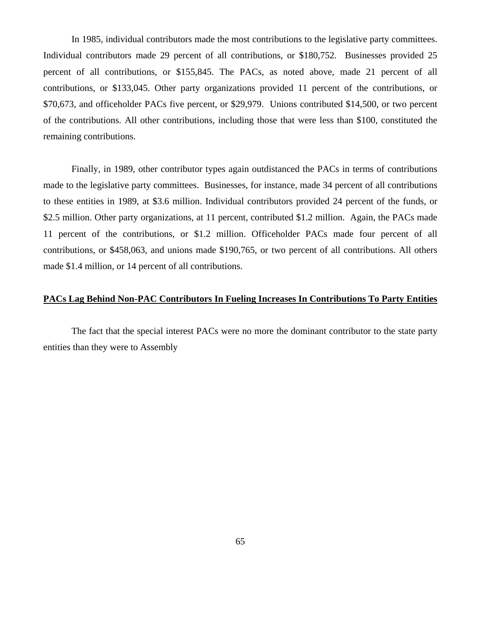In 1985, individual contributors made the most contributions to the legislative party committees. Individual contributors made 29 percent of all contributions, or \$180,752. Businesses provided 25 percent of all contributions, or \$155,845. The PACs, as noted above, made 21 percent of all contributions, or \$133,045. Other party organizations provided 11 percent of the contributions, or \$70,673, and officeholder PACs five percent, or \$29,979. Unions contributed \$14,500, or two percent of the contributions. All other contributions, including those that were less than \$100, constituted the remaining contributions.

 Finally, in 1989, other contributor types again outdistanced the PACs in terms of contributions made to the legislative party committees. Businesses, for instance, made 34 percent of all contributions to these entities in 1989, at \$3.6 million. Individual contributors provided 24 percent of the funds, or \$2.5 million. Other party organizations, at 11 percent, contributed \$1.2 million. Again, the PACs made 11 percent of the contributions, or \$1.2 million. Officeholder PACs made four percent of all contributions, or \$458,063, and unions made \$190,765, or two percent of all contributions. All others made \$1.4 million, or 14 percent of all contributions.

## **PACs Lag Behind Non-PAC Contributors In Fueling Increases In Contributions To Party Entities**

 The fact that the special interest PACs were no more the dominant contributor to the state party entities than they were to Assembly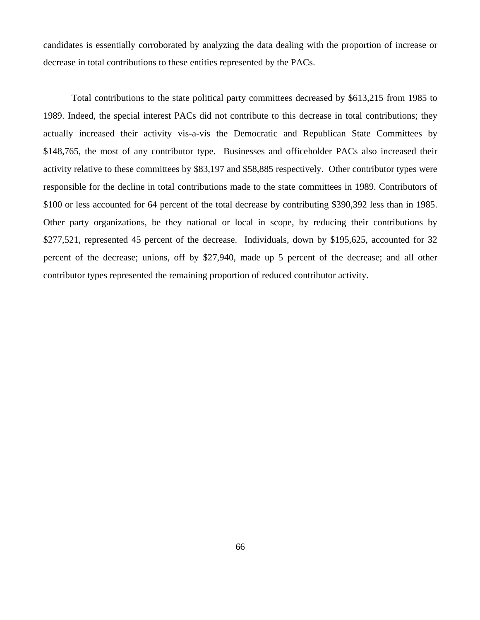candidates is essentially corroborated by analyzing the data dealing with the proportion of increase or decrease in total contributions to these entities represented by the PACs.

Total contributions to the state political party committees decreased by \$613,215 from 1985 to 1989. Indeed, the special interest PACs did not contribute to this decrease in total contributions; they actually increased their activity vis-a-vis the Democratic and Republican State Committees by \$148,765, the most of any contributor type. Businesses and officeholder PACs also increased their activity relative to these committees by \$83,197 and \$58,885 respectively. Other contributor types were responsible for the decline in total contributions made to the state committees in 1989. Contributors of \$100 or less accounted for 64 percent of the total decrease by contributing \$390,392 less than in 1985. Other party organizations, be they national or local in scope, by reducing their contributions by \$277,521, represented 45 percent of the decrease. Individuals, down by \$195,625, accounted for 32 percent of the decrease; unions, off by \$27,940, made up 5 percent of the decrease; and all other contributor types represented the remaining proportion of reduced contributor activity.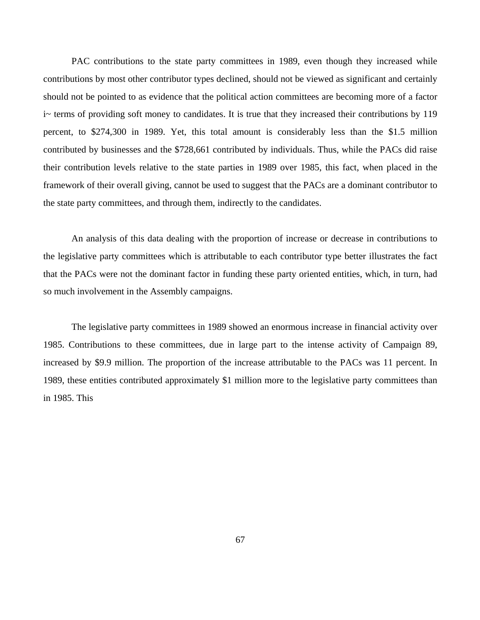PAC contributions to the state party committees in 1989, even though they increased while contributions by most other contributor types declined, should not be viewed as significant and certainly should not be pointed to as evidence that the political action committees are becoming more of a factor i~ terms of providing soft money to candidates. It is true that they increased their contributions by 119 percent, to \$274,300 in 1989. Yet, this total amount is considerably less than the \$1.5 million contributed by businesses and the \$728,661 contributed by individuals. Thus, while the PACs did raise their contribution levels relative to the state parties in 1989 over 1985, this fact, when placed in the framework of their overall giving, cannot be used to suggest that the PACs are a dominant contributor to the state party committees, and through them, indirectly to the candidates.

 An analysis of this data dealing with the proportion of increase or decrease in contributions to the legislative party committees which is attributable to each contributor type better illustrates the fact that the PACs were not the dominant factor in funding these party oriented entities, which, in turn, had so much involvement in the Assembly campaigns.

 The legislative party committees in 1989 showed an enormous increase in financial activity over 1985. Contributions to these committees, due in large part to the intense activity of Campaign 89, increased by \$9.9 million. The proportion of the increase attributable to the PACs was 11 percent. In 1989, these entities contributed approximately \$1 million more to the legislative party committees than in 1985. This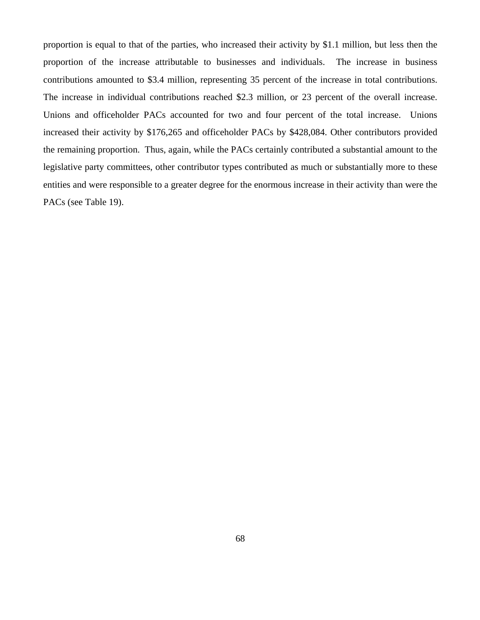proportion is equal to that of the parties, who increased their activity by \$1.1 million, but less then the proportion of the increase attributable to businesses and individuals. The increase in business contributions amounted to \$3.4 million, representing 35 percent of the increase in total contributions. The increase in individual contributions reached \$2.3 million, or 23 percent of the overall increase. Unions and officeholder PACs accounted for two and four percent of the total increase. Unions increased their activity by \$176,265 and officeholder PACs by \$428,084. Other contributors provided the remaining proportion. Thus, again, while the PACs certainly contributed a substantial amount to the legislative party committees, other contributor types contributed as much or substantially more to these entities and were responsible to a greater degree for the enormous increase in their activity than were the PACs (see Table 19).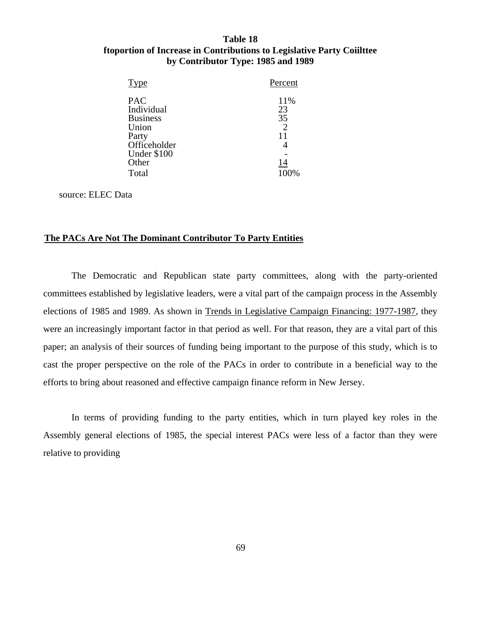### **Table 18 ftoportion of Increase in Contributions to Legislative Party Coiilttee by Contributor Type: 1985 and 1989**

| Type                                                                                                  | Percent                                      |
|-------------------------------------------------------------------------------------------------------|----------------------------------------------|
| <b>PAC</b><br>Individual<br><b>Business</b><br>Union<br>Party<br>Officeholder<br>Under \$100<br>Other | 11%<br>23<br>35<br>$\overline{2}$<br>4<br>14 |
| Total                                                                                                 | 100%                                         |

source: ELEC Data

### **The PACs Are Not The Dominant Contributor To Party Entities**

 The Democratic and Republican state party committees, along with the party-oriented committees established by legislative leaders, were a vital part of the campaign process in the Assembly elections of 1985 and 1989. As shown in Trends in Legislative Campaign Financing: 1977-1987, they were an increasingly important factor in that period as well. For that reason, they are a vital part of this paper; an analysis of their sources of funding being important to the purpose of this study, which is to cast the proper perspective on the role of the PACs in order to contribute in a beneficial way to the efforts to bring about reasoned and effective campaign finance reform in New Jersey.

 In terms of providing funding to the party entities, which in turn played key roles in the Assembly general elections of 1985, the special interest PACs were less of a factor than they were relative to providing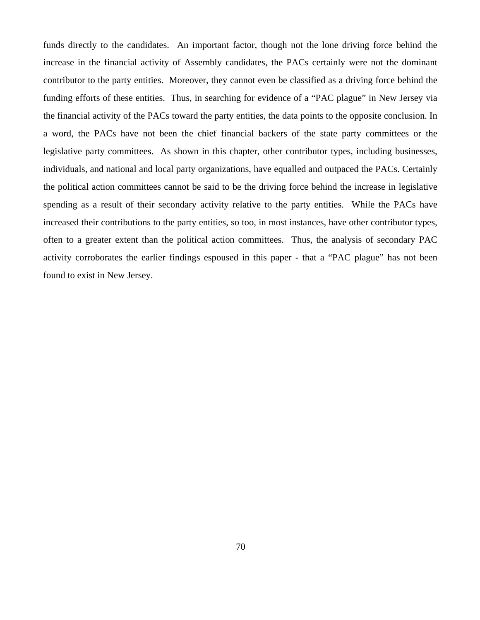funds directly to the candidates. An important factor, though not the lone driving force behind the increase in the financial activity of Assembly candidates, the PACs certainly were not the dominant contributor to the party entities. Moreover, they cannot even be classified as a driving force behind the funding efforts of these entities. Thus, in searching for evidence of a "PAC plague" in New Jersey via the financial activity of the PACs toward the party entities, the data points to the opposite conclusion. In a word, the PACs have not been the chief financial backers of the state party committees or the legislative party committees. As shown in this chapter, other contributor types, including businesses, individuals, and national and local party organizations, have equalled and outpaced the PACs. Certainly the political action committees cannot be said to be the driving force behind the increase in legislative spending as a result of their secondary activity relative to the party entities. While the PACs have increased their contributions to the party entities, so too, in most instances, have other contributor types, often to a greater extent than the political action committees. Thus, the analysis of secondary PAC activity corroborates the earlier findings espoused in this paper - that a "PAC plague" has not been found to exist in New Jersey.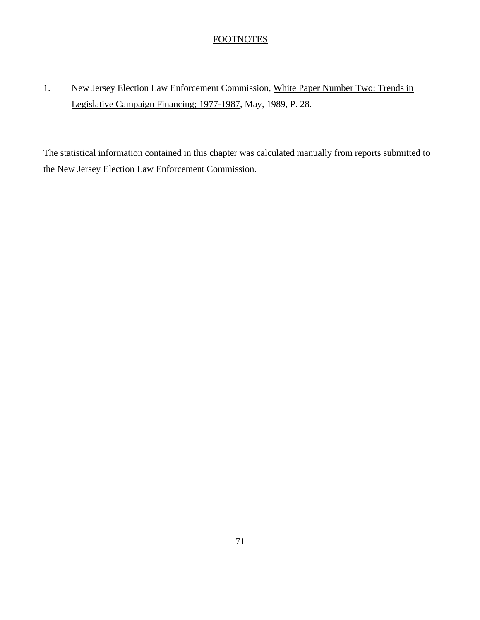### **FOOTNOTES**

# 1. New Jersey Election Law Enforcement Commission, White Paper Number Two: Trends in Legislative Campaign Financing; 1977-1987, May, 1989, P. 28.

The statistical information contained in this chapter was calculated manually from reports submitted to the New Jersey Election Law Enforcement Commission.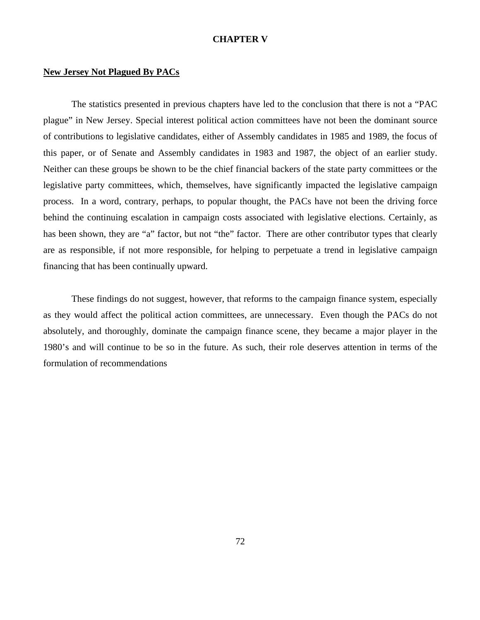### **CHAPTER V**

### **New Jersey Not Plagued By PACs**

 The statistics presented in previous chapters have led to the conclusion that there is not a "PAC plague" in New Jersey. Special interest political action committees have not been the dominant source of contributions to legislative candidates, either of Assembly candidates in 1985 and 1989, the focus of this paper, or of Senate and Assembly candidates in 1983 and 1987, the object of an earlier study. Neither can these groups be shown to be the chief financial backers of the state party committees or the legislative party committees, which, themselves, have significantly impacted the legislative campaign process. In a word, contrary, perhaps, to popular thought, the PACs have not been the driving force behind the continuing escalation in campaign costs associated with legislative elections. Certainly, as has been shown, they are "a" factor, but not "the" factor. There are other contributor types that clearly are as responsible, if not more responsible, for helping to perpetuate a trend in legislative campaign financing that has been continually upward.

 These findings do not suggest, however, that reforms to the campaign finance system, especially as they would affect the political action committees, are unnecessary. Even though the PACs do not absolutely, and thoroughly, dominate the campaign finance scene, they became a major player in the 1980's and will continue to be so in the future. As such, their role deserves attention in terms of the formulation of recommendations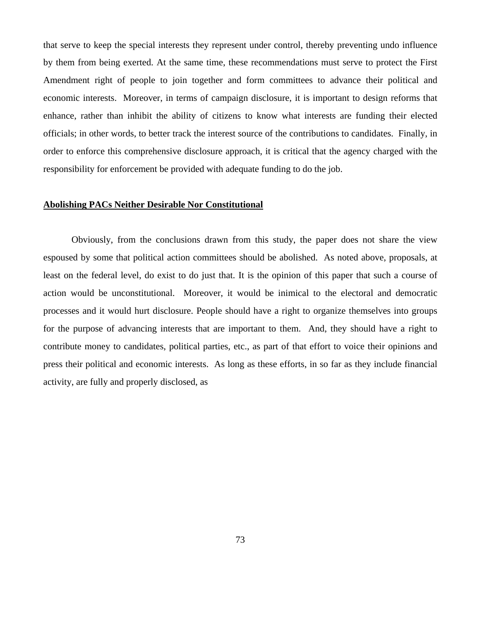that serve to keep the special interests they represent under control, thereby preventing undo influence by them from being exerted. At the same time, these recommendations must serve to protect the First Amendment right of people to join together and form committees to advance their political and economic interests. Moreover, in terms of campaign disclosure, it is important to design reforms that enhance, rather than inhibit the ability of citizens to know what interests are funding their elected officials; in other words, to better track the interest source of the contributions to candidates. Finally, in order to enforce this comprehensive disclosure approach, it is critical that the agency charged with the responsibility for enforcement be provided with adequate funding to do the job.

### **Abolishing PACs Neither Desirable Nor Constitutional**

Obviously, from the conclusions drawn from this study, the paper does not share the view espoused by some that political action committees should be abolished. As noted above, proposals, at least on the federal level, do exist to do just that. It is the opinion of this paper that such a course of action would be unconstitutional. Moreover, it would be inimical to the electoral and democratic processes and it would hurt disclosure. People should have a right to organize themselves into groups for the purpose of advancing interests that are important to them. And, they should have a right to contribute money to candidates, political parties, etc., as part of that effort to voice their opinions and press their political and economic interests. As long as these efforts, in so far as they include financial activity, are fully and properly disclosed, as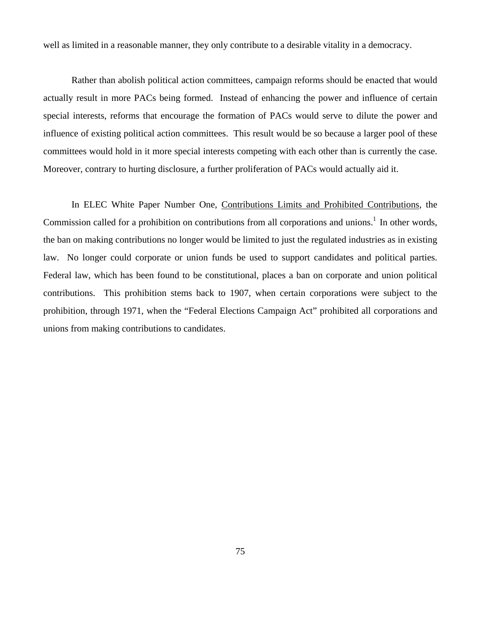well as limited in a reasonable manner, they only contribute to a desirable vitality in a democracy.

Rather than abolish political action committees, campaign reforms should be enacted that would actually result in more PACs being formed. Instead of enhancing the power and influence of certain special interests, reforms that encourage the formation of PACs would serve to dilute the power and influence of existing political action committees. This result would be so because a larger pool of these committees would hold in it more special interests competing with each other than is currently the case. Moreover, contrary to hurting disclosure, a further proliferation of PACs would actually aid it.

In ELEC White Paper Number One, Contributions Limits and Prohibited Contributions, the Commission called for a prohibition on contributions from all corporations and unions.<sup>1</sup> In other words, the ban on making contributions no longer would be limited to just the regulated industries as in existing law. No longer could corporate or union funds be used to support candidates and political parties. Federal law, which has been found to be constitutional, places a ban on corporate and union political contributions. This prohibition stems back to 1907, when certain corporations were subject to the prohibition, through 1971, when the "Federal Elections Campaign Act" prohibited all corporations and unions from making contributions to candidates.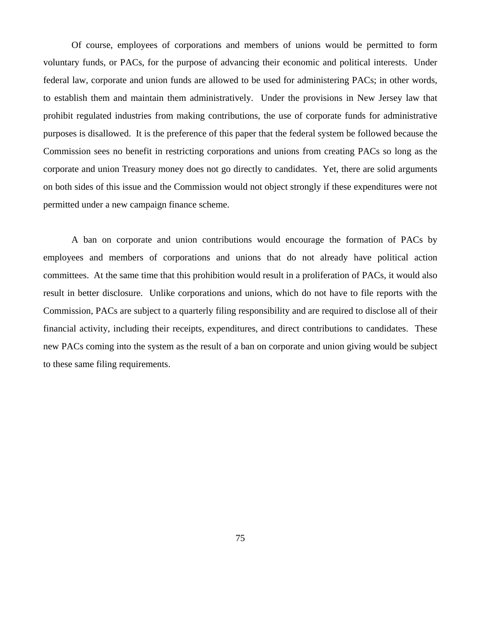Of course, employees of corporations and members of unions would be permitted to form voluntary funds, or PACs, for the purpose of advancing their economic and political interests. Under federal law, corporate and union funds are allowed to be used for administering PACs; in other words, to establish them and maintain them administratively. Under the provisions in New Jersey law that prohibit regulated industries from making contributions, the use of corporate funds for administrative purposes is disallowed. It is the preference of this paper that the federal system be followed because the Commission sees no benefit in restricting corporations and unions from creating PACs so long as the corporate and union Treasury money does not go directly to candidates. Yet, there are solid arguments on both sides of this issue and the Commission would not object strongly if these expenditures were not permitted under a new campaign finance scheme.

 A ban on corporate and union contributions would encourage the formation of PACs by employees and members of corporations and unions that do not already have political action committees. At the same time that this prohibition would result in a proliferation of PACs, it would also result in better disclosure. Unlike corporations and unions, which do not have to file reports with the Commission, PACs are subject to a quarterly filing responsibility and are required to disclose all of their financial activity, including their receipts, expenditures, and direct contributions to candidates. These new PACs coming into the system as the result of a ban on corporate and union giving would be subject to these same filing requirements.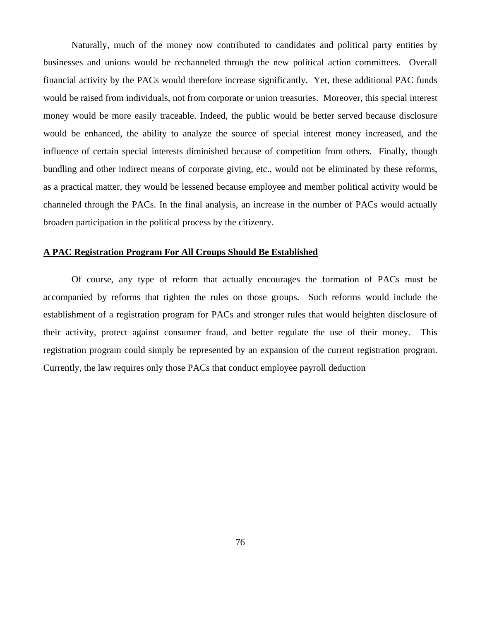Naturally, much of the money now contributed to candidates and political party entities by businesses and unions would be rechanneled through the new political action committees. Overall financial activity by the PACs would therefore increase significantly. Yet, these additional PAC funds would be raised from individuals, not from corporate or union treasuries. Moreover, this special interest money would be more easily traceable. Indeed, the public would be better served because disclosure would be enhanced, the ability to analyze the source of special interest money increased, and the influence of certain special interests diminished because of competition from others. Finally, though bundling and other indirect means of corporate giving, etc., would not be eliminated by these reforms, as a practical matter, they would be lessened because employee and member political activity would be channeled through the PACs. In the final analysis, an increase in the number of PACs would actually broaden participation in the political process by the citizenry.

### **A PAC Registration Program For All Croups Should Be Established**

Of course, any type of reform that actually encourages the formation of PACs must be accompanied by reforms that tighten the rules on those groups. Such reforms would include the establishment of a registration program for PACs and stronger rules that would heighten disclosure of their activity, protect against consumer fraud, and better regulate the use of their money. This registration program could simply be represented by an expansion of the current registration program. Currently, the law requires only those PACs that conduct employee payroll deduction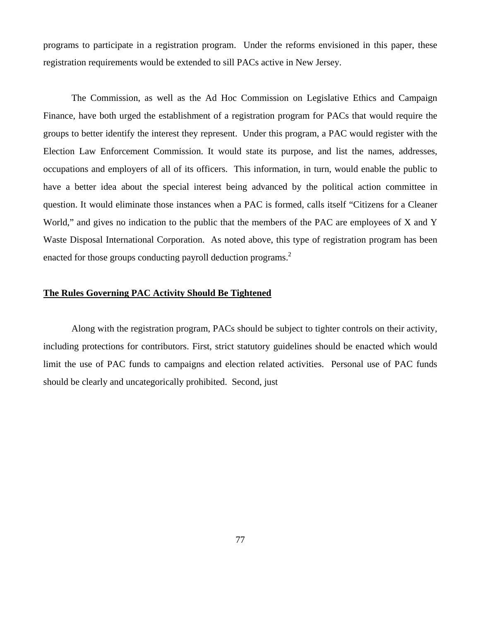programs to participate in a registration program. Under the reforms envisioned in this paper, these registration requirements would be extended to sill PACs active in New Jersey.

The Commission, as well as the Ad Hoc Commission on Legislative Ethics and Campaign Finance, have both urged the establishment of a registration program for PACs that would require the groups to better identify the interest they represent. Under this program, a PAC would register with the Election Law Enforcement Commission. It would state its purpose, and list the names, addresses, occupations and employers of all of its officers. This information, in turn, would enable the public to have a better idea about the special interest being advanced by the political action committee in question. It would eliminate those instances when a PAC is formed, calls itself "Citizens for a Cleaner World," and gives no indication to the public that the members of the PAC are employees of X and Y Waste Disposal International Corporation. As noted above, this type of registration program has been enacted for those groups conducting payroll deduction programs.<sup>2</sup>

### **The Rules Governing PAC Activity Should Be Tightened**

Along with the registration program, PACs should be subject to tighter controls on their activity, including protections for contributors. First, strict statutory guidelines should be enacted which would limit the use of PAC funds to campaigns and election related activities. Personal use of PAC funds should be clearly and uncategorically prohibited. Second, just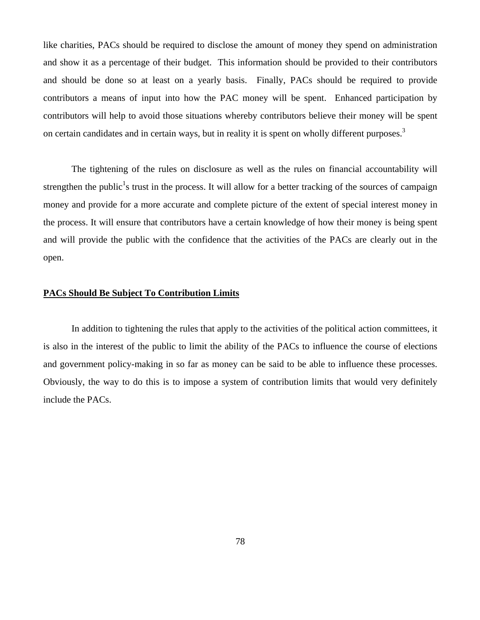like charities, PACs should be required to disclose the amount of money they spend on administration and show it as a percentage of their budget. This information should be provided to their contributors and should be done so at least on a yearly basis. Finally, PACs should be required to provide contributors a means of input into how the PAC money will be spent. Enhanced participation by contributors will help to avoid those situations whereby contributors believe their money will be spent on certain candidates and in certain ways, but in reality it is spent on wholly different purposes.<sup>3</sup>

The tightening of the rules on disclosure as well as the rules on financial accountability will strengthen the public<sup>1</sup>s trust in the process. It will allow for a better tracking of the sources of campaign money and provide for a more accurate and complete picture of the extent of special interest money in the process. It will ensure that contributors have a certain knowledge of how their money is being spent and will provide the public with the confidence that the activities of the PACs are clearly out in the open.

### **PACs Should Be Subject To Contribution Limits**

In addition to tightening the rules that apply to the activities of the political action committees, it is also in the interest of the public to limit the ability of the PACs to influence the course of elections and government policy-making in so far as money can be said to be able to influence these processes. Obviously, the way to do this is to impose a system of contribution limits that would very definitely include the PACs.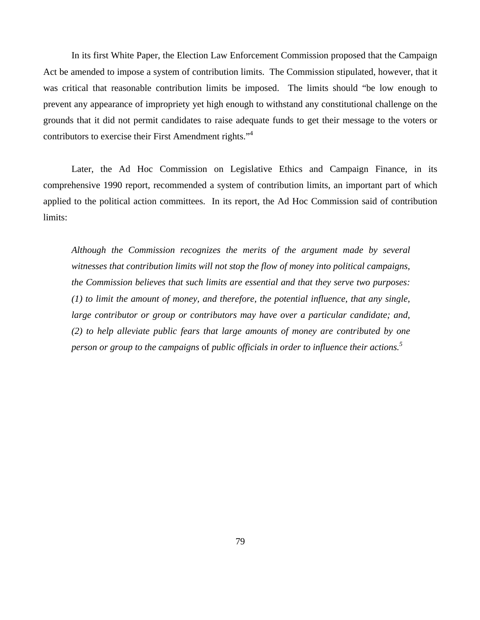In its first White Paper, the Election Law Enforcement Commission proposed that the Campaign Act be amended to impose a system of contribution limits. The Commission stipulated, however, that it was critical that reasonable contribution limits be imposed. The limits should "be low enough to prevent any appearance of impropriety yet high enough to withstand any constitutional challenge on the grounds that it did not permit candidates to raise adequate funds to get their message to the voters or contributors to exercise their First Amendment rights."4

 Later, the Ad Hoc Commission on Legislative Ethics and Campaign Finance, in its comprehensive 1990 report, recommended a system of contribution limits, an important part of which applied to the political action committees. In its report, the Ad Hoc Commission said of contribution limits:

*Although the Commission recognizes the merits of the argument made by several witnesses that contribution limits will not stop the flow of money into political campaigns, the Commission believes that such limits are essential and that they serve two purposes: (1) to limit the amount of money, and therefore, the potential influence, that any single, large contributor or group or contributors may have over a particular candidate; and, (2) to help alleviate public fears that large amounts of money are contributed by one person or group to the campaigns* of *public officials in order to influence their actions.5*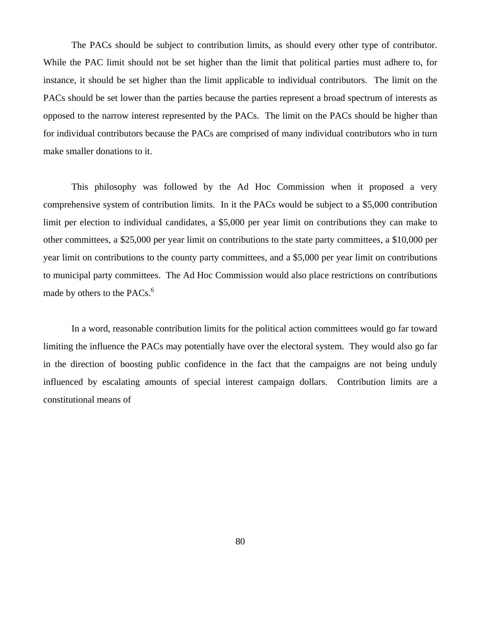The PACs should be subject to contribution limits, as should every other type of contributor. While the PAC limit should not be set higher than the limit that political parties must adhere to, for instance, it should be set higher than the limit applicable to individual contributors. The limit on the PACs should be set lower than the parties because the parties represent a broad spectrum of interests as opposed to the narrow interest represented by the PACs. The limit on the PACs should be higher than for individual contributors because the PACs are comprised of many individual contributors who in turn make smaller donations to it.

 This philosophy was followed by the Ad Hoc Commission when it proposed a very comprehensive system of contribution limits. In it the PACs would be subject to a \$5,000 contribution limit per election to individual candidates, a \$5,000 per year limit on contributions they can make to other committees, a \$25,000 per year limit on contributions to the state party committees, a \$10,000 per year limit on contributions to the county party committees, and a \$5,000 per year limit on contributions to municipal party committees. The Ad Hoc Commission would also place restrictions on contributions made by others to the PACs. $<sup>6</sup>$ </sup>

 In a word, reasonable contribution limits for the political action committees would go far toward limiting the influence the PACs may potentially have over the electoral system. They would also go far in the direction of boosting public confidence in the fact that the campaigns are not being unduly influenced by escalating amounts of special interest campaign dollars. Contribution limits are a constitutional means of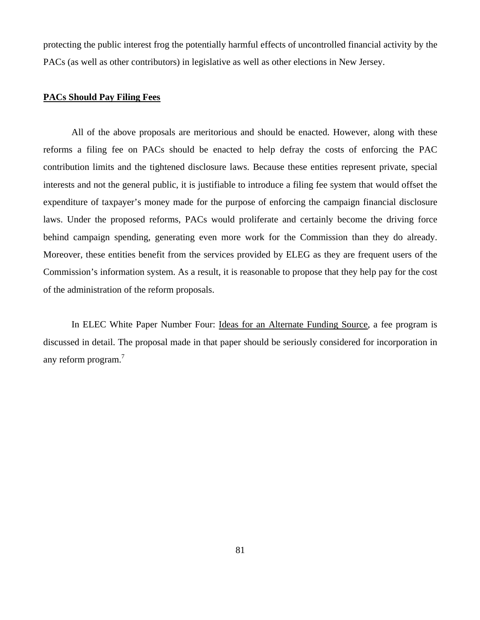protecting the public interest frog the potentially harmful effects of uncontrolled financial activity by the PACs (as well as other contributors) in legislative as well as other elections in New Jersey.

### **PACs Should Pay Filing Fees**

All of the above proposals are meritorious and should be enacted. However, along with these reforms a filing fee on PACs should be enacted to help defray the costs of enforcing the PAC contribution limits and the tightened disclosure laws. Because these entities represent private, special interests and not the general public, it is justifiable to introduce a filing fee system that would offset the expenditure of taxpayer's money made for the purpose of enforcing the campaign financial disclosure laws. Under the proposed reforms, PACs would proliferate and certainly become the driving force behind campaign spending, generating even more work for the Commission than they do already. Moreover, these entities benefit from the services provided by ELEG as they are frequent users of the Commission's information system. As a result, it is reasonable to propose that they help pay for the cost of the administration of the reform proposals.

In ELEC White Paper Number Four: Ideas for an Alternate Funding Source, a fee program is discussed in detail. The proposal made in that paper should be seriously considered for incorporation in any reform program.<sup>7</sup>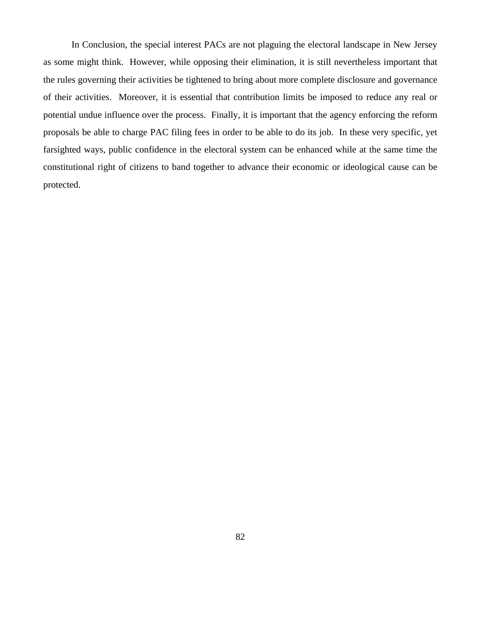In Conclusion, the special interest PACs are not plaguing the electoral landscape in New Jersey as some might think. However, while opposing their elimination, it is still nevertheless important that the rules governing their activities be tightened to bring about more complete disclosure and governance of their activities. Moreover, it is essential that contribution limits be imposed to reduce any real or potential undue influence over the process. Finally, it is important that the agency enforcing the reform proposals be able to charge PAC filing fees in order to be able to do its job. In these very specific, yet farsighted ways, public confidence in the electoral system can be enhanced while at the same time the constitutional right of citizens to band together to advance their economic or ideological cause can be protected.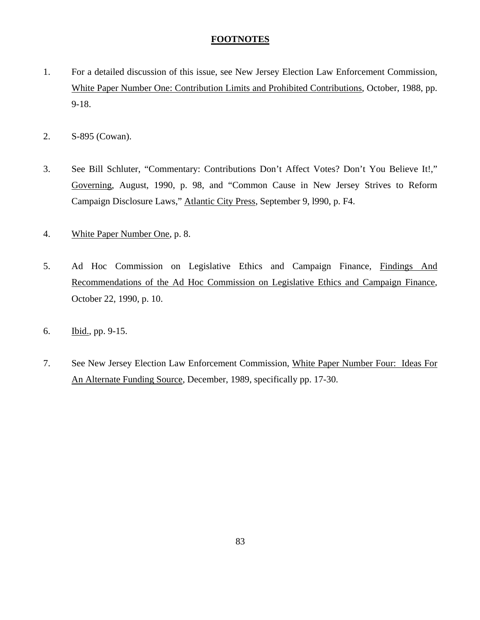### **FOOTNOTES**

- 1. For a detailed discussion of this issue, see New Jersey Election Law Enforcement Commission, White Paper Number One: Contribution Limits and Prohibited Contributions, October, 1988, pp. 9-18.
- 2. S-895 (Cowan).
- 3. See Bill Schluter, "Commentary: Contributions Don't Affect Votes? Don't You Believe It!," Governing, August, 1990, p. 98, and "Common Cause in New Jersey Strives to Reform Campaign Disclosure Laws," Atlantic City Press, September 9, l990, p. F4.
- 4. White Paper Number One, p. 8.
- 5. Ad Hoc Commission on Legislative Ethics and Campaign Finance, Findings And Recommendations of the Ad Hoc Commission on Legislative Ethics and Campaign Finance, October 22, 1990, p. 10.
- 6. Ibid., pp. 9-15.
- 7. See New Jersey Election Law Enforcement Commission, White Paper Number Four: Ideas For An Alternate Funding Source, December, 1989, specifically pp. 17-30.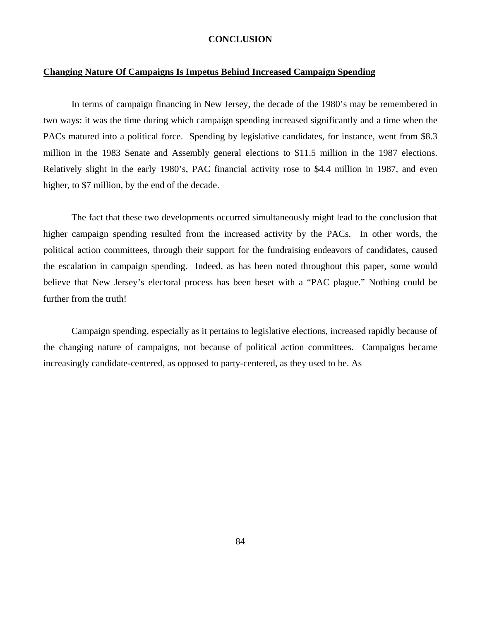### **CONCLUSION**

### **Changing Nature Of Campaigns Is Impetus Behind Increased Campaign Spending**

 In terms of campaign financing in New Jersey, the decade of the 1980's may be remembered in two ways: it was the time during which campaign spending increased significantly and a time when the PACs matured into a political force. Spending by legislative candidates, for instance, went from \$8.3 million in the 1983 Senate and Assembly general elections to \$11.5 million in the 1987 elections. Relatively slight in the early 1980's, PAC financial activity rose to \$4.4 million in 1987, and even higher, to \$7 million, by the end of the decade.

 The fact that these two developments occurred simultaneously might lead to the conclusion that higher campaign spending resulted from the increased activity by the PACs. In other words, the political action committees, through their support for the fundraising endeavors of candidates, caused the escalation in campaign spending. Indeed, as has been noted throughout this paper, some would believe that New Jersey's electoral process has been beset with a "PAC plague." Nothing could be further from the truth!

 Campaign spending, especially as it pertains to legislative elections, increased rapidly because of the changing nature of campaigns, not because of political action committees. Campaigns became increasingly candidate-centered, as opposed to party-centered, as they used to be. As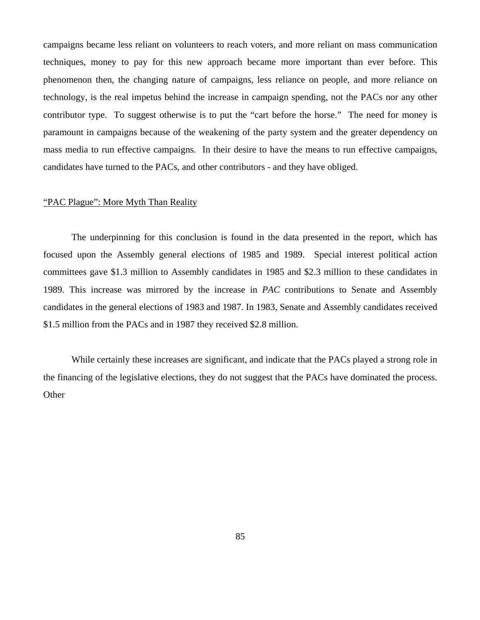campaigns became less reliant on volunteers to reach voters, and more reliant on mass communication techniques, money to pay for this new approach became more important than ever before. This phenomenon then, the changing nature of campaigns, less reliance on people, and more reliance on technology, is the real impetus behind the increase in campaign spending, not the PACs nor any other contributor type. To suggest otherwise is to put the "cart before the horse." The need for money is paramount in campaigns because of the weakening of the party system and the greater dependency on mass media to run effective campaigns. In their desire to have the means to run effective campaigns, candidates have turned to the PACs, and other contributors - and they have obliged.

### "PAC Plague": More Myth Than Reality

The underpinning for this conclusion is found in the data presented in the report, which has focused upon the Assembly general elections of 1985 and 1989. Special interest political action committees gave \$1.3 million to Assembly candidates in 1985 and \$2.3 million to these candidates in 1989. This increase was mirrored by the increase in *PAC* contributions to Senate and Assembly candidates in the general elections of 1983 and 1987. In 1983, Senate and Assembly candidates received \$1.5 million from the PACs and in 1987 they received \$2.8 million.

While certainly these increases are significant, and indicate that the PACs played a strong role in the financing of the legislative elections, they do not suggest that the PACs have dominated the process. **Other**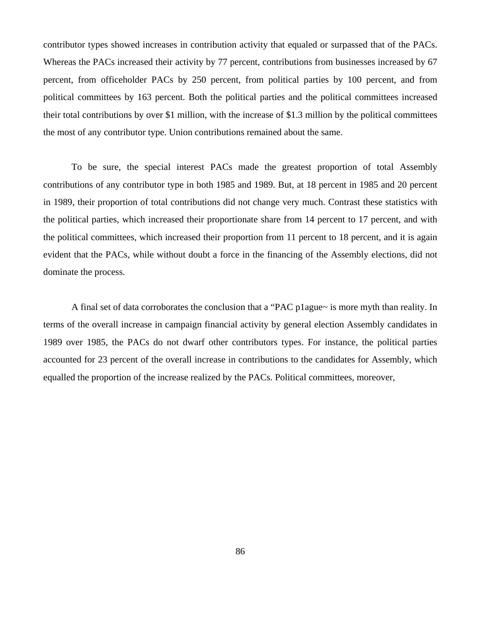contributor types showed increases in contribution activity that equaled or surpassed that of the PACs. Whereas the PACs increased their activity by 77 percent, contributions from businesses increased by 67 percent, from officeholder PACs by 250 percent, from political parties by 100 percent, and from political committees by 163 percent. Both the political parties and the political committees increased their total contributions by over \$1 million, with the increase of \$1.3 million by the political committees the most of any contributor type. Union contributions remained about the same.

To be sure, the special interest PACs made the greatest proportion of total Assembly contributions of any contributor type in both 1985 and 1989. But, at 18 percent in 1985 and 20 percent in 1989, their proportion of total contributions did not change very much. Contrast these statistics with the political parties, which increased their proportionate share from 14 percent to 17 percent, and with the political committees, which increased their proportion from 11 percent to 18 percent, and it is again evident that the PACs, while without doubt a force in the financing of the Assembly elections, did not dominate the process.

A final set of data corroborates the conclusion that a "PAC p1ague~ is more myth than reality. In terms of the overall increase in campaign financial activity by general election Assembly candidates in 1989 over 1985, the PACs do not dwarf other contributors types. For instance, the political parties accounted for 23 percent of the overall increase in contributions to the candidates for Assembly, which equalled the proportion of the increase realized by the PACs. Political committees, moreover,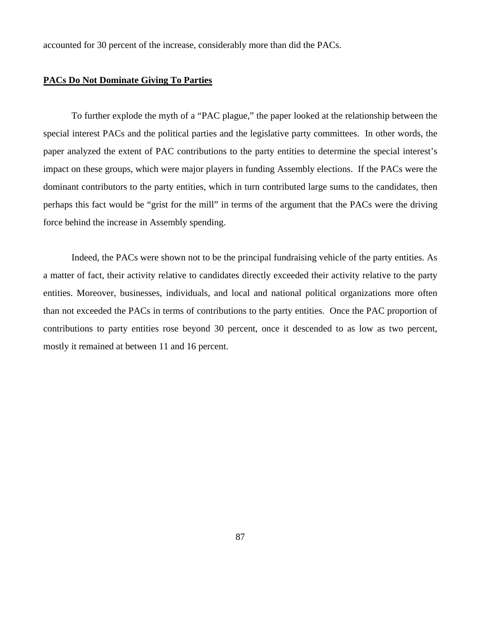accounted for 30 percent of the increase, considerably more than did the PACs.

### **PACs Do Not Dominate Giving To Parties**

To further explode the myth of a "PAC plague," the paper looked at the relationship between the special interest PACs and the political parties and the legislative party committees. In other words, the paper analyzed the extent of PAC contributions to the party entities to determine the special interest's impact on these groups, which were major players in funding Assembly elections. If the PACs were the dominant contributors to the party entities, which in turn contributed large sums to the candidates, then perhaps this fact would be "grist for the mill" in terms of the argument that the PACs were the driving force behind the increase in Assembly spending.

Indeed, the PACs were shown not to be the principal fundraising vehicle of the party entities. As a matter of fact, their activity relative to candidates directly exceeded their activity relative to the party entities. Moreover, businesses, individuals, and local and national political organizations more often than not exceeded the PACs in terms of contributions to the party entities. Once the PAC proportion of contributions to party entities rose beyond 30 percent, once it descended to as low as two percent, mostly it remained at between 11 and 16 percent.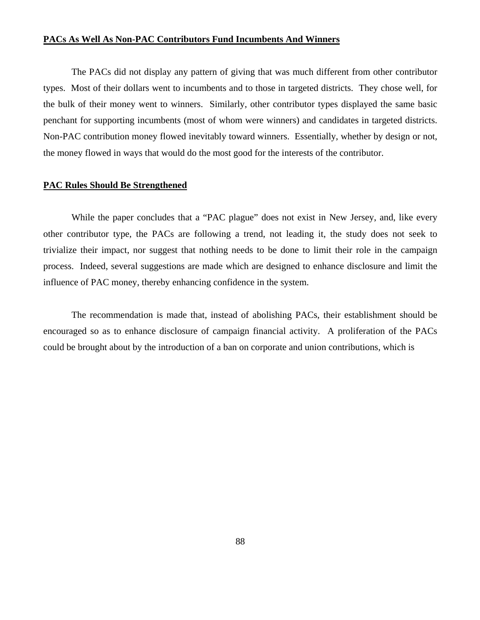### **PACs As Well As Non-PAC Contributors Fund Incumbents And Winners**

 The PACs did not display any pattern of giving that was much different from other contributor types. Most of their dollars went to incumbents and to those in targeted districts. They chose well, for the bulk of their money went to winners. Similarly, other contributor types displayed the same basic penchant for supporting incumbents (most of whom were winners) and candidates in targeted districts. Non-PAC contribution money flowed inevitably toward winners. Essentially, whether by design or not, the money flowed in ways that would do the most good for the interests of the contributor.

#### **PAC Rules Should Be Strengthened**

 While the paper concludes that a "PAC plague" does not exist in New Jersey, and, like every other contributor type, the PACs are following a trend, not leading it, the study does not seek to trivialize their impact, nor suggest that nothing needs to be done to limit their role in the campaign process. Indeed, several suggestions are made which are designed to enhance disclosure and limit the influence of PAC money, thereby enhancing confidence in the system.

 The recommendation is made that, instead of abolishing PACs, their establishment should be encouraged so as to enhance disclosure of campaign financial activity. A proliferation of the PACs could be brought about by the introduction of a ban on corporate and union contributions, which is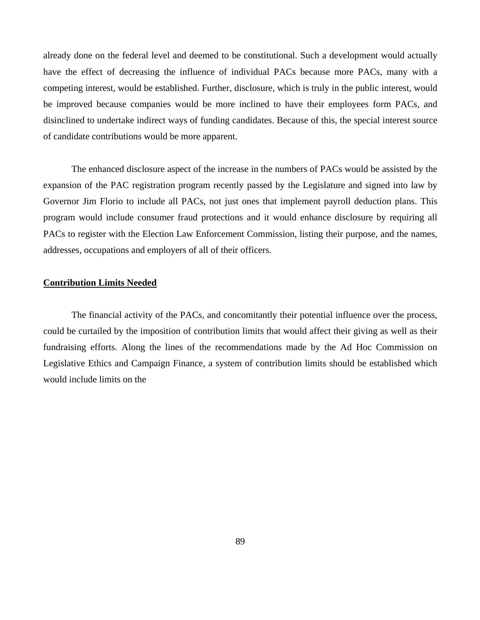already done on the federal level and deemed to be constitutional. Such a development would actually have the effect of decreasing the influence of individual PACs because more PACs, many with a competing interest, would be established. Further, disclosure, which is truly in the public interest, would be improved because companies would be more inclined to have their employees form PACs, and disinclined to undertake indirect ways of funding candidates. Because of this, the special interest source of candidate contributions would be more apparent.

 The enhanced disclosure aspect of the increase in the numbers of PACs would be assisted by the expansion of the PAC registration program recently passed by the Legislature and signed into law by Governor Jim Florio to include all PACs, not just ones that implement payroll deduction plans. This program would include consumer fraud protections and it would enhance disclosure by requiring all PACs to register with the Election Law Enforcement Commission, listing their purpose, and the names, addresses, occupations and employers of all of their officers.

### **Contribution Limits Needed**

 The financial activity of the PACs, and concomitantly their potential influence over the process, could be curtailed by the imposition of contribution limits that would affect their giving as well as their fundraising efforts. Along the lines of the recommendations made by the Ad Hoc Commission on Legislative Ethics and Campaign Finance, a system of contribution limits should be established which would include limits on the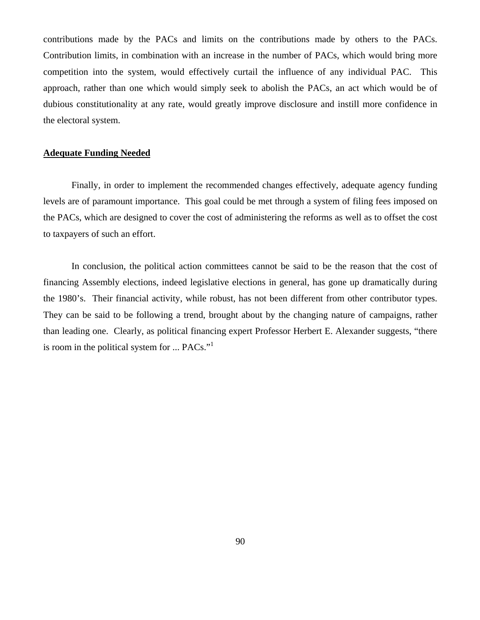contributions made by the PACs and limits on the contributions made by others to the PACs. Contribution limits, in combination with an increase in the number of PACs, which would bring more competition into the system, would effectively curtail the influence of any individual PAC. This approach, rather than one which would simply seek to abolish the PACs, an act which would be of dubious constitutionality at any rate, would greatly improve disclosure and instill more confidence in the electoral system.

### **Adequate Funding Needed**

 Finally, in order to implement the recommended changes effectively, adequate agency funding levels are of paramount importance. This goal could be met through a system of filing fees imposed on the PACs, which are designed to cover the cost of administering the reforms as well as to offset the cost to taxpayers of such an effort.

 In conclusion, the political action committees cannot be said to be the reason that the cost of financing Assembly elections, indeed legislative elections in general, has gone up dramatically during the 1980's. Their financial activity, while robust, has not been different from other contributor types. They can be said to be following a trend, brought about by the changing nature of campaigns, rather than leading one. Clearly, as political financing expert Professor Herbert E. Alexander suggests, "there is room in the political system for ... PACs."<sup>1</sup>